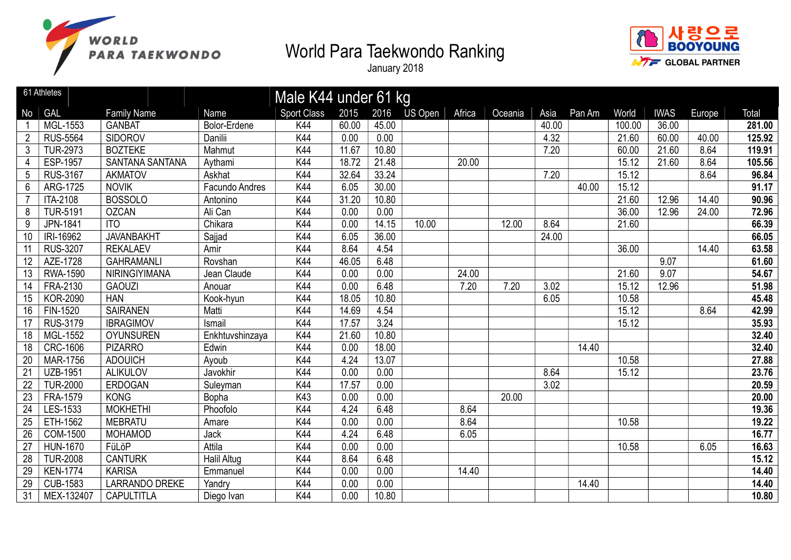



|                 | 61 Athletes     |                        |                    | Male K44 under 61 kg |       |       |                |        |         |       |        |        |             |        |        |
|-----------------|-----------------|------------------------|--------------------|----------------------|-------|-------|----------------|--------|---------|-------|--------|--------|-------------|--------|--------|
| No              | GAL             | <b>Family Name</b>     | Name               | <b>Sport Class</b>   | 2015  | 2016  | <b>US Open</b> | Africa | Oceania | Asia  | Pan Am | World  | <b>IWAS</b> | Europe | Total  |
|                 | MGL-1553        | <b>GANBAT</b>          | Bolor-Erdene       | K44                  | 60.00 | 45.00 |                |        |         | 40.00 |        | 100.00 | 36.00       |        | 281.00 |
| $\overline{2}$  | <b>RUS-5564</b> | <b>SIDOROV</b>         | Danilii            | K44                  | 0.00  | 0.00  |                |        |         | 4.32  |        | 21.60  | 60.00       | 40.00  | 125.92 |
| 3               | <b>TUR-2973</b> | <b>BOZTEKE</b>         | Mahmut             | K44                  | 11.67 | 10.80 |                |        |         | 7.20  |        | 60.00  | 21.60       | 8.64   | 119.91 |
| 4               | <b>ESP-1957</b> | <b>SANTANA SANTANA</b> | Aythami            | K44                  | 18.72 | 21.48 |                | 20.00  |         |       |        | 15.12  | 21.60       | 8.64   | 105.56 |
| 5               | <b>RUS-3167</b> | <b>AKMATOV</b>         | Askhat             | K44                  | 32.64 | 33.24 |                |        |         | 7.20  |        | 15.12  |             | 8.64   | 96.84  |
| $6\phantom{1}$  | ARG-1725        | <b>NOVIK</b>           | Facundo Andres     | K44                  | 6.05  | 30.00 |                |        |         |       | 40.00  | 15.12  |             |        | 91.17  |
|                 | <b>ITA-2108</b> | <b>BOSSOLO</b>         | Antonino           | K44                  | 31.20 | 10.80 |                |        |         |       |        | 21.60  | 12.96       | 14.40  | 90.96  |
| 8               | <b>TUR-5191</b> | <b>OZCAN</b>           | Ali Can            | K44                  | 0.00  | 0.00  |                |        |         |       |        | 36.00  | 12.96       | 24.00  | 72.96  |
| 9               | JPN-1841        | <b>ITO</b>             | Chikara            | K44                  | 0.00  | 14.15 | 10.00          |        | 12.00   | 8.64  |        | 21.60  |             |        | 66.39  |
| 10              | IRI-16962       | <b>JAVANBAKHT</b>      | Sajjad             | K44                  | 6.05  | 36.00 |                |        |         | 24.00 |        |        |             |        | 66.05  |
| 11              | <b>RUS-3207</b> | <b>REKALAEV</b>        | Amir               | K44                  | 8.64  | 4.54  |                |        |         |       |        | 36.00  |             | 14.40  | 63.58  |
| 12              | AZE-1728        | <b>GAHRAMANLI</b>      | Rovshan            | K44                  | 46.05 | 6.48  |                |        |         |       |        |        | 9.07        |        | 61.60  |
| 13              | <b>RWA-1590</b> | NIRINGIYIMANA          | Jean Claude        | K44                  | 0.00  | 0.00  |                | 24.00  |         |       |        | 21.60  | 9.07        |        | 54.67  |
| 14              | FRA-2130        | <b>GAOUZI</b>          | Anouar             | K44                  | 0.00  | 6.48  |                | 7.20   | 7.20    | 3.02  |        | 15.12  | 12.96       |        | 51.98  |
| 15              | <b>KOR-2090</b> | <b>HAN</b>             | Kook-hyun          | K44                  | 18.05 | 10.80 |                |        |         | 6.05  |        | 10.58  |             |        | 45.48  |
| 16              | FIN-1520        | <b>SAIRANEN</b>        | Matti              | K44                  | 14.69 | 4.54  |                |        |         |       |        | 15.12  |             | 8.64   | 42.99  |
| 17              | RUS-3179        | <b>IBRAGIMOV</b>       | Ismail             | K44                  | 17.57 | 3.24  |                |        |         |       |        | 15.12  |             |        | 35.93  |
| 18              | <b>MGL-1552</b> | <b>OYUNSUREN</b>       | Enkhtuvshinzaya    | K44                  | 21.60 | 10.80 |                |        |         |       |        |        |             |        | 32.40  |
| 18              | <b>CRC-1606</b> | <b>PIZARRO</b>         | Edwin              | K44                  | 0.00  | 18.00 |                |        |         |       | 14.40  |        |             |        | 32.40  |
| $\overline{20}$ | <b>MAR-1756</b> | <b>ADOUICH</b>         | Ayoub              | K44                  | 4.24  | 13.07 |                |        |         |       |        | 10.58  |             |        | 27.88  |
| $\overline{21}$ | <b>UZB-1951</b> | <b>ALIKULOV</b>        | Javokhir           | K44                  | 0.00  | 0.00  |                |        |         | 8.64  |        | 15.12  |             |        | 23.76  |
| 22              | <b>TUR-2000</b> | <b>ERDOGAN</b>         | Suleyman           | K44                  | 17.57 | 0.00  |                |        |         | 3.02  |        |        |             |        | 20.59  |
| 23              | FRA-1579        | <b>KONG</b>            | Bopha              | K43                  | 0.00  | 0.00  |                |        | 20.00   |       |        |        |             |        | 20.00  |
| 24              | LES-1533        | <b>MOKHETHI</b>        | Phoofolo           | K44                  | 4.24  | 6.48  |                | 8.64   |         |       |        |        |             |        | 19.36  |
| 25              | ETH-1562        | <b>MEBRATU</b>         | Amare              | K44                  | 0.00  | 0.00  |                | 8.64   |         |       |        | 10.58  |             |        | 19.22  |
| 26              | <b>COM-1500</b> | <b>MOHAMOD</b>         | Jack               | K44                  | 4.24  | 6.48  |                | 6.05   |         |       |        |        |             |        | 16.77  |
| 27              | <b>HUN-1670</b> | FüLöP                  | Attila             | K44                  | 0.00  | 0.00  |                |        |         |       |        | 10.58  |             | 6.05   | 16.63  |
| 28              | <b>TUR-2008</b> | <b>CANTURK</b>         | <b>Halil Altug</b> | K44                  | 8.64  | 6.48  |                |        |         |       |        |        |             |        | 15.12  |
| 29              | <b>KEN-1774</b> | <b>KARISA</b>          | Emmanuel           | K44                  | 0.00  | 0.00  |                | 14.40  |         |       |        |        |             |        | 14.40  |
| 29              | <b>CUB-1583</b> | <b>LARRANDO DREKE</b>  | Yandry             | K44                  | 0.00  | 0.00  |                |        |         |       | 14.40  |        |             |        | 14.40  |
| 31              | MEX-132407      | <b>CAPULTITLA</b>      | Diego Ivan         | K44                  | 0.00  | 10.80 |                |        |         |       |        |        |             |        | 10.80  |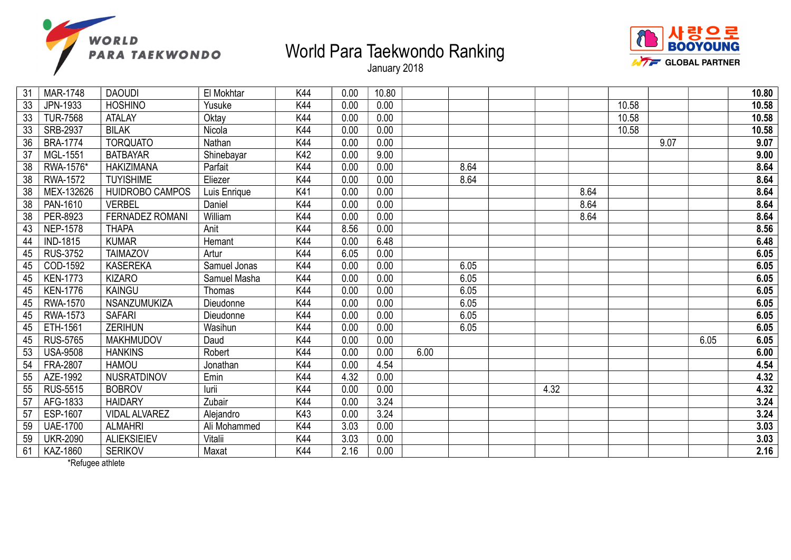



January 2018

| 31 | <b>MAR-1748</b> | <b>DAOUDI</b>          | El Mokhtar   | K44 | 0.00 | 10.80 |      |      |      |      |       |      |      | 10.80 |
|----|-----------------|------------------------|--------------|-----|------|-------|------|------|------|------|-------|------|------|-------|
| 33 | JPN-1933        | <b>HOSHINO</b>         | Yusuke       | K44 | 0.00 | 0.00  |      |      |      |      | 10.58 |      |      | 10.58 |
| 33 | <b>TUR-7568</b> | <b>ATALAY</b>          | Oktay        | K44 | 0.00 | 0.00  |      |      |      |      | 10.58 |      |      | 10.58 |
| 33 | SRB-2937        | <b>BILAK</b>           | Nicola       | K44 | 0.00 | 0.00  |      |      |      |      | 10.58 |      |      | 10.58 |
| 36 | <b>BRA-1774</b> | <b>TORQUATO</b>        | Nathan       | K44 | 0.00 | 0.00  |      |      |      |      |       | 9.07 |      | 9.07  |
| 37 | MGL-1551        | <b>BATBAYAR</b>        | Shinebayar   | K42 | 0.00 | 9.00  |      |      |      |      |       |      |      | 9.00  |
| 38 | RWA-1576*       | <b>HAKIZIMANA</b>      | Parfait      | K44 | 0.00 | 0.00  |      | 8.64 |      |      |       |      |      | 8.64  |
| 38 | <b>RWA-1572</b> | <b>TUYISHIME</b>       | Eliezer      | K44 | 0.00 | 0.00  |      | 8.64 |      |      |       |      |      | 8.64  |
| 38 | MEX-132626      | HUIDROBO CAMPOS        | Luis Enrique | K41 | 0.00 | 0.00  |      |      |      | 8.64 |       |      |      | 8.64  |
| 38 | PAN-1610        | <b>VERBEL</b>          | Daniel       | K44 | 0.00 | 0.00  |      |      |      | 8.64 |       |      |      | 8.64  |
| 38 | PER-8923        | <b>FERNADEZ ROMANI</b> | William      | K44 | 0.00 | 0.00  |      |      |      | 8.64 |       |      |      | 8.64  |
| 43 | <b>NEP-1578</b> | <b>THAPA</b>           | Anit         | K44 | 8.56 | 0.00  |      |      |      |      |       |      |      | 8.56  |
| 44 | <b>IND-1815</b> | <b>KUMAR</b>           | Hemant       | K44 | 0.00 | 6.48  |      |      |      |      |       |      |      | 6.48  |
| 45 | <b>RUS-3752</b> | <b>TAIMAZOV</b>        | Artur        | K44 | 6.05 | 0.00  |      |      |      |      |       |      |      | 6.05  |
| 45 | COD-1592        | <b>KASEREKA</b>        | Samuel Jonas | K44 | 0.00 | 0.00  |      | 6.05 |      |      |       |      |      | 6.05  |
| 45 | <b>KEN-1773</b> | <b>KIZARO</b>          | Samuel Masha | K44 | 0.00 | 0.00  |      | 6.05 |      |      |       |      |      | 6.05  |
| 45 | <b>KEN-1776</b> | <b>KAINGU</b>          | Thomas       | K44 | 0.00 | 0.00  |      | 6.05 |      |      |       |      |      | 6.05  |
| 45 | RWA-1570        | NSANZUMUKIZA           | Dieudonne    | K44 | 0.00 | 0.00  |      | 6.05 |      |      |       |      |      | 6.05  |
| 45 | <b>RWA-1573</b> | <b>SAFARI</b>          | Dieudonne    | K44 | 0.00 | 0.00  |      | 6.05 |      |      |       |      |      | 6.05  |
| 45 | ETH-1561        | <b>ZERIHUN</b>         | Wasihun      | K44 | 0.00 | 0.00  |      | 6.05 |      |      |       |      |      | 6.05  |
| 45 | <b>RUS-5765</b> | <b>MAKHMUDOV</b>       | Daud         | K44 | 0.00 | 0.00  |      |      |      |      |       |      | 6.05 | 6.05  |
| 53 | <b>USA-9508</b> | <b>HANKINS</b>         | Robert       | K44 | 0.00 | 0.00  | 6.00 |      |      |      |       |      |      | 6.00  |
| 54 | FRA-2807        | <b>HAMOU</b>           | Jonathan     | K44 | 0.00 | 4.54  |      |      |      |      |       |      |      | 4.54  |
| 55 | AZE-1992        | NUSRATDINOV            | Emin         | K44 | 4.32 | 0.00  |      |      |      |      |       |      |      | 4.32  |
| 55 | <b>RUS-5515</b> | <b>BOBROV</b>          | lurii        | K44 | 0.00 | 0.00  |      |      | 4.32 |      |       |      |      | 4.32  |
| 57 | AFG-1833        | <b>HAIDARY</b>         | Zubair       | K44 | 0.00 | 3.24  |      |      |      |      |       |      |      | 3.24  |
| 57 | ESP-1607        | <b>VIDAL ALVAREZ</b>   | Alejandro    | K43 | 0.00 | 3.24  |      |      |      |      |       |      |      | 3.24  |
| 59 | <b>UAE-1700</b> | <b>ALMAHRI</b>         | Ali Mohammed | K44 | 3.03 | 0.00  |      |      |      |      |       |      |      | 3.03  |
| 59 | <b>UKR-2090</b> | <b>ALIEKSIEIEV</b>     | Vitalii      | K44 | 3.03 | 0.00  |      |      |      |      |       |      |      | 3.03  |
| 61 | KAZ-1860        | <b>SERIKOV</b>         | Maxat        | K44 | 2.16 | 0.00  |      |      |      |      |       |      |      | 2.16  |
|    |                 |                        |              |     |      |       |      |      |      |      |       |      |      |       |

\*Refugee athlete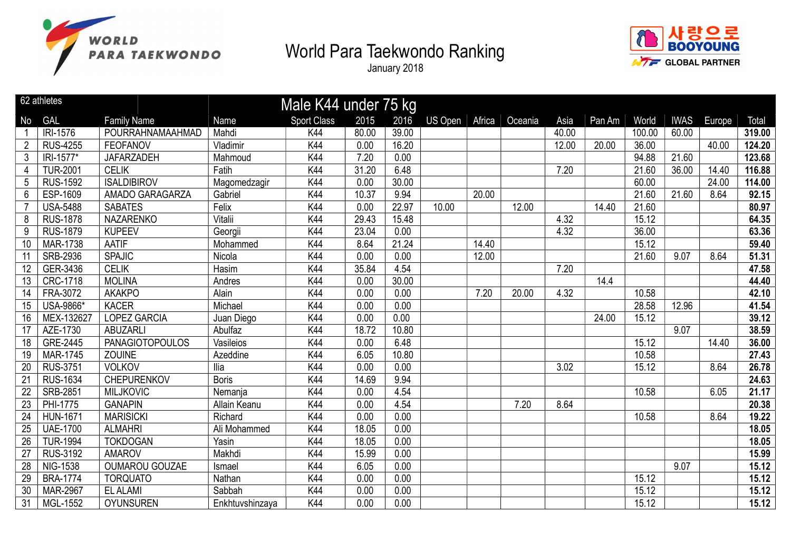



|                | 62 athletes     |                        |                 | Male K44 under 75 kg |       |       |                |        |         |       |        |        |             |        |        |
|----------------|-----------------|------------------------|-----------------|----------------------|-------|-------|----------------|--------|---------|-------|--------|--------|-------------|--------|--------|
| No             | <b>GAL</b>      | <b>Family Name</b>     | Name            | <b>Sport Class</b>   | 2015  | 2016  | <b>US Open</b> | Africa | Oceania | Asia  | Pan Am | World  | <b>IWAS</b> | Europe | Total  |
|                | IRI-1576        | POURRAHNAMAAHMAD       | Mahdi           | K44                  | 80.00 | 39.00 |                |        |         | 40.00 |        | 100.00 | 60.00       |        | 319.00 |
| $\overline{2}$ | <b>RUS-4255</b> | <b>FEOFANOV</b>        | Vladimir        | K44                  | 0.00  | 16.20 |                |        |         | 12.00 | 20.00  | 36.00  |             | 40.00  | 124.20 |
| $\mathfrak{Z}$ | IRI-1577*       | <b>JAFARZADEH</b>      | Mahmoud         | K44                  | 7.20  | 0.00  |                |        |         |       |        | 94.88  | 21.60       |        | 123.68 |
| $\overline{4}$ | <b>TUR-2001</b> | <b>CELIK</b>           | Fatih           | K44                  | 31.20 | 6.48  |                |        |         | 7.20  |        | 21.60  | 36.00       | 14.40  | 116.88 |
| 5              | <b>RUS-1592</b> | <b>ISALDIBIROV</b>     | Magomedzagir    | K44                  | 0.00  | 30.00 |                |        |         |       |        | 60.00  |             | 24.00  | 114.00 |
| 6              | ESP-1609        | AMADO GARAGARZA        | Gabriel         | K44                  | 10.37 | 9.94  |                | 20.00  |         |       |        | 21.60  | 21.60       | 8.64   | 92.15  |
| 7              | <b>USA-5488</b> | <b>SABATES</b>         | Felix           | K44                  | 0.00  | 22.97 | 10.00          |        | 12.00   |       | 14.40  | 21.60  |             |        | 80.97  |
| 8              | <b>RUS-1878</b> | <b>NAZARENKO</b>       | Vitalii         | K44                  | 29.43 | 15.48 |                |        |         | 4.32  |        | 15.12  |             |        | 64.35  |
| 9              | <b>RUS-1879</b> | <b>KUPEEV</b>          | Georgii         | K44                  | 23.04 | 0.00  |                |        |         | 4.32  |        | 36.00  |             |        | 63.36  |
| 10             | <b>MAR-1738</b> | <b>AATIF</b>           | Mohammed        | K44                  | 8.64  | 21.24 |                | 14.40  |         |       |        | 15.12  |             |        | 59.40  |
| 11             | SRB-2936        | <b>SPAJIC</b>          | Nicola          | K44                  | 0.00  | 0.00  |                | 12.00  |         |       |        | 21.60  | 9.07        | 8.64   | 51.31  |
| 12             | GER-3436        | <b>CELIK</b>           | Hasim           | K44                  | 35.84 | 4.54  |                |        |         | 7.20  |        |        |             |        | 47.58  |
| 13             | CRC-1718        | <b>MOLINA</b>          | Andres          | K44                  | 0.00  | 30.00 |                |        |         |       | 14.4   |        |             |        | 44.40  |
| 14             | FRA-3072        | <b>AKAKPO</b>          | Alain           | K44                  | 0.00  | 0.00  |                | 7.20   | 20.00   | 4.32  |        | 10.58  |             |        | 42.10  |
| 15             | USA-9866*       | <b>KACER</b>           | Michael         | K44                  | 0.00  | 0.00  |                |        |         |       |        | 28.58  | 12.96       |        | 41.54  |
| 16             | MEX-132627      | <b>LOPEZ GARCIA</b>    | Juan Diego      | K44                  | 0.00  | 0.00  |                |        |         |       | 24.00  | 15.12  |             |        | 39.12  |
| 17             | AZE-1730        | <b>ABUZARLI</b>        | Abulfaz         | K44                  | 18.72 | 10.80 |                |        |         |       |        |        | 9.07        |        | 38.59  |
| 18             | GRE-2445        | <b>PANAGIOTOPOULOS</b> | Vasileios       | K44                  | 0.00  | 6.48  |                |        |         |       |        | 15.12  |             | 14.40  | 36.00  |
| 19             | MAR-1745        | ZOUINE                 | Azeddine        | K44                  | 6.05  | 10.80 |                |        |         |       |        | 10.58  |             |        | 27.43  |
| 20             | <b>RUS-3751</b> | <b>VOLKOV</b>          | <b>Ilia</b>     | K44                  | 0.00  | 0.00  |                |        |         | 3.02  |        | 15.12  |             | 8.64   | 26.78  |
| 21             | <b>RUS-1634</b> | CHEPURENKOV            | <b>Boris</b>    | K44                  | 14.69 | 9.94  |                |        |         |       |        |        |             |        | 24.63  |
| 22             | <b>SRB-2851</b> | <b>MILJKOVIC</b>       | Nemanja         | K44                  | 0.00  | 4.54  |                |        |         |       |        | 10.58  |             | 6.05   | 21.17  |
| 23             | PHI-1775        | <b>GANAPIN</b>         | Allain Keanu    | K44                  | 0.00  | 4.54  |                |        | 7.20    | 8.64  |        |        |             |        | 20.38  |
| 24             | <b>HUN-1671</b> | <b>MARISICKI</b>       | Richard         | K44                  | 0.00  | 0.00  |                |        |         |       |        | 10.58  |             | 8.64   | 19.22  |
| 25             | <b>UAE-1700</b> | <b>ALMAHRI</b>         | Ali Mohammed    | K44                  | 18.05 | 0.00  |                |        |         |       |        |        |             |        | 18.05  |
| 26             | <b>TUR-1994</b> | <b>TOKDOGAN</b>        | Yasin           | K44                  | 18.05 | 0.00  |                |        |         |       |        |        |             |        | 18.05  |
| 27             | <b>RUS-3192</b> | <b>AMAROV</b>          | Makhdi          | K44                  | 15.99 | 0.00  |                |        |         |       |        |        |             |        | 15.99  |
| 28             | NIG-1538        | <b>OUMAROU GOUZAE</b>  | Ismael          | K44                  | 6.05  | 0.00  |                |        |         |       |        |        | 9.07        |        | 15.12  |
| 29             | <b>BRA-1774</b> | <b>TORQUATO</b>        | Nathan          | K44                  | 0.00  | 0.00  |                |        |         |       |        | 15.12  |             |        | 15.12  |
| 30             | <b>MAR-2967</b> | <b>EL ALAMI</b>        | Sabbah          | K44                  | 0.00  | 0.00  |                |        |         |       |        | 15.12  |             |        | 15.12  |
| 31             | MGL-1552        | <b>OYUNSUREN</b>       | Enkhtuvshinzaya | K44                  | 0.00  | 0.00  |                |        |         |       |        | 15.12  |             |        | 15.12  |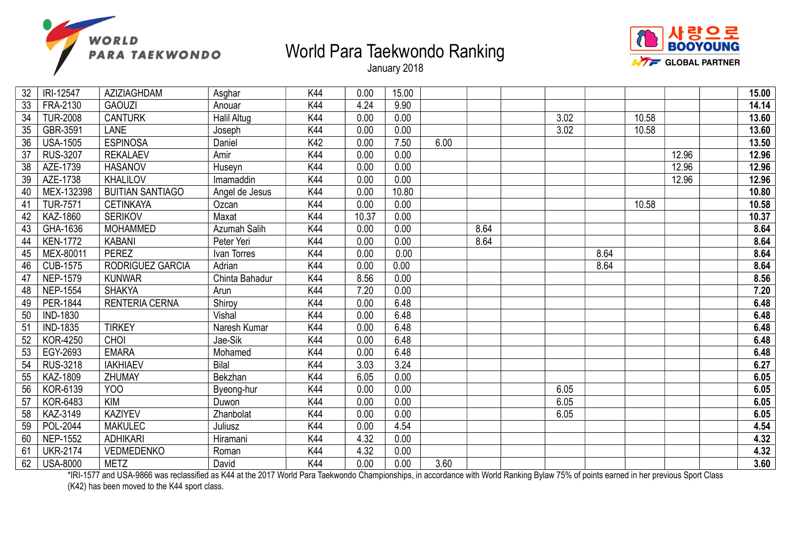



January 2018

| 32 | IRI-12547       | AZIZIAGHDAM             | Asghar         | K44 | 0.00  | 15.00 |      |      |      |      |       |       | 15.00 |
|----|-----------------|-------------------------|----------------|-----|-------|-------|------|------|------|------|-------|-------|-------|
| 33 | FRA-2130        | <b>GAOUZI</b>           | Anouar         | K44 | 4.24  | 9.90  |      |      |      |      |       |       | 14.14 |
| 34 | <b>TUR-2008</b> | <b>CANTURK</b>          | Halil Altug    | K44 | 0.00  | 0.00  |      |      | 3.02 |      | 10.58 |       | 13.60 |
| 35 | GBR-3591        | <b>LANE</b>             | Joseph         | K44 | 0.00  | 0.00  |      |      | 3.02 |      | 10.58 |       | 13.60 |
| 36 | <b>USA-1505</b> | <b>ESPINOSA</b>         | Daniel         | K42 | 0.00  | 7.50  | 6.00 |      |      |      |       |       | 13.50 |
| 37 | <b>RUS-3207</b> | <b>REKALAEV</b>         | Amir           | K44 | 0.00  | 0.00  |      |      |      |      |       | 12.96 | 12.96 |
| 38 | AZE-1739        | <b>HASANOV</b>          | Huseyn         | K44 | 0.00  | 0.00  |      |      |      |      |       | 12.96 | 12.96 |
| 39 | AZE-1738        | <b>KHALILOV</b>         | Imamaddin      | K44 | 0.00  | 0.00  |      |      |      |      |       | 12.96 | 12.96 |
| 40 | MEX-132398      | <b>BUITIAN SANTIAGO</b> | Angel de Jesus | K44 | 0.00  | 10.80 |      |      |      |      |       |       | 10.80 |
| 41 | <b>TUR-7571</b> | <b>CETINKAYA</b>        | Ozcan          | K44 | 0.00  | 0.00  |      |      |      |      | 10.58 |       | 10.58 |
| 42 | KAZ-1860        | <b>SERIKOV</b>          | Maxat          | K44 | 10.37 | 0.00  |      |      |      |      |       |       | 10.37 |
| 43 | GHA-1636        | <b>MOHAMMED</b>         | Azumah Salih   | K44 | 0.00  | 0.00  |      | 8.64 |      |      |       |       | 8.64  |
| 44 | <b>KEN-1772</b> | <b>KABANI</b>           | Peter Yeri     | K44 | 0.00  | 0.00  |      | 8.64 |      |      |       |       | 8.64  |
| 45 | MEX-80011       | <b>PEREZ</b>            | Ivan Torres    | K44 | 0.00  | 0.00  |      |      |      | 8.64 |       |       | 8.64  |
| 46 | <b>CUB-1575</b> | RODRIGUEZ GARCIA        | Adrian         | K44 | 0.00  | 0.00  |      |      |      | 8.64 |       |       | 8.64  |
| 47 | <b>NEP-1579</b> | <b>KUNWAR</b>           | Chinta Bahadur | K44 | 8.56  | 0.00  |      |      |      |      |       |       | 8.56  |
| 48 | <b>NEP-1554</b> | <b>SHAKYA</b>           | Arun           | K44 | 7.20  | 0.00  |      |      |      |      |       |       | 7.20  |
| 49 | PER-1844        | RENTERIA CERNA          | Shiroy         | K44 | 0.00  | 6.48  |      |      |      |      |       |       | 6.48  |
| 50 | <b>IND-1830</b> |                         | Vishal         | K44 | 0.00  | 6.48  |      |      |      |      |       |       | 6.48  |
| 51 | <b>IND-1835</b> | <b>TIRKEY</b>           | Naresh Kumar   | K44 | 0.00  | 6.48  |      |      |      |      |       |       | 6.48  |
| 52 | <b>KOR-4250</b> | CHOI                    | Jae-Sik        | K44 | 0.00  | 6.48  |      |      |      |      |       |       | 6.48  |
| 53 | EGY-2693        | <b>EMARA</b>            | Mohamed        | K44 | 0.00  | 6.48  |      |      |      |      |       |       | 6.48  |
| 54 | <b>RUS-3218</b> | <b>IAKHIAEV</b>         | Bilal          | K44 | 3.03  | 3.24  |      |      |      |      |       |       | 6.27  |
| 55 | KAZ-1809        | ZHUMAY                  | Bekzhan        | K44 | 6.05  | 0.00  |      |      |      |      |       |       | 6.05  |
| 56 | KOR-6139        | YOO                     | Byeong-hur     | K44 | 0.00  | 0.00  |      |      | 6.05 |      |       |       | 6.05  |
| 57 | KOR-6483        | <b>KIM</b>              | Duwon          | K44 | 0.00  | 0.00  |      |      | 6.05 |      |       |       | 6.05  |
| 58 | KAZ-3149        | <b>KAZIYEV</b>          | Zhanbolat      | K44 | 0.00  | 0.00  |      |      | 6.05 |      |       |       | 6.05  |
| 59 | POL-2044        | <b>MAKULEC</b>          | Juliusz        | K44 | 0.00  | 4.54  |      |      |      |      |       |       | 4.54  |
| 60 | <b>NEP-1552</b> | <b>ADHIKARI</b>         | Hiramani       | K44 | 4.32  | 0.00  |      |      |      |      |       |       | 4.32  |
| 61 | <b>UKR-2174</b> | VEDMEDENKO              | Roman          | K44 | 4.32  | 0.00  |      |      |      |      |       |       | 4.32  |
| 62 | <b>USA-8000</b> | <b>METZ</b>             | David          | K44 | 0.00  | 0.00  | 3.60 |      |      |      |       |       | 3.60  |

\*IRI-1577 and USA-9866 was reclassified as K44 at the 2017 World Para Taekwondo Championships, in accordance with World Ranking Bylaw 75% of points earned in her previous Sport Class (K42) has been moved to the K44 sport class.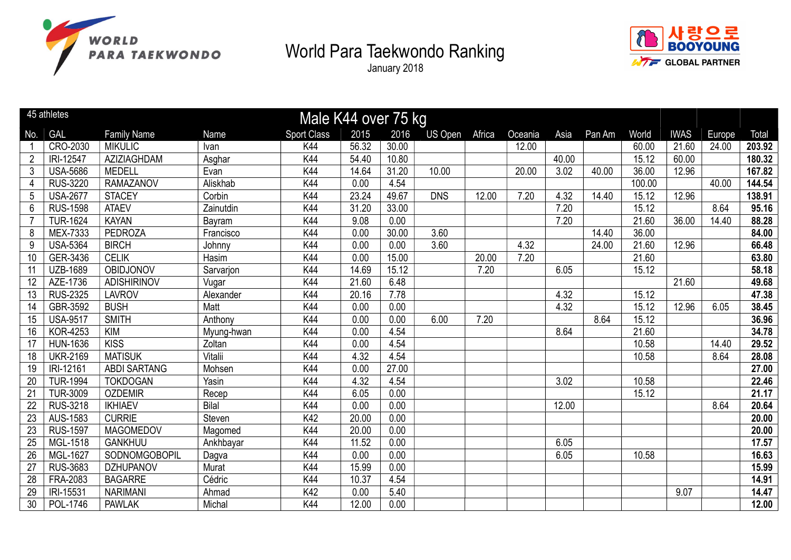



|                 | 45 athletes     |                     |              | Male K44 over 75 kg |       |       |                |        |         |       |        |        |             |        |        |
|-----------------|-----------------|---------------------|--------------|---------------------|-------|-------|----------------|--------|---------|-------|--------|--------|-------------|--------|--------|
| No.             | <b>GAL</b>      | <b>Family Name</b>  | <b>Name</b>  | <b>Sport Class</b>  | 2015  | 2016  | <b>US Open</b> | Africa | Oceania | Asia  | Pan Am | World  | <b>IWAS</b> | Europe | Total  |
|                 | CRO-2030        | <b>MIKULIC</b>      | Ivan         | K44                 | 56.32 | 30.00 |                |        | 12.00   |       |        | 60.00  | 21.60       | 24.00  | 203.92 |
| $\overline{2}$  | IRI-12547       | AZIZIAGHDAM         | Asghar       | K44                 | 54.40 | 10.80 |                |        |         | 40.00 |        | 15.12  | 60.00       |        | 180.32 |
| $\mathfrak{Z}$  | <b>USA-5686</b> | <b>MEDELL</b>       | Evan         | K44                 | 14.64 | 31.20 | 10.00          |        | 20.00   | 3.02  | 40.00  | 36.00  | 12.96       |        | 167.82 |
| 4               | <b>RUS-3220</b> | <b>RAMAZANOV</b>    | Aliskhab     | K44                 | 0.00  | 4.54  |                |        |         |       |        | 100.00 |             | 40.00  | 144.54 |
| 5               | <b>USA-2677</b> | <b>STACEY</b>       | Corbin       | K44                 | 23.24 | 49.67 | <b>DNS</b>     | 12.00  | 7.20    | 4.32  | 14.40  | 15.12  | 12.96       |        | 138.91 |
| $\overline{6}$  | <b>RUS-1598</b> | <b>ATAEV</b>        | Zainutdin    | K44                 | 31.20 | 33.00 |                |        |         | 7.20  |        | 15.12  |             | 8.64   | 95.16  |
| $\overline{7}$  | <b>TUR-1624</b> | <b>KAYAN</b>        | Bayram       | K44                 | 9.08  | 0.00  |                |        |         | 7.20  |        | 21.60  | 36.00       | 14.40  | 88.28  |
| 8               | MEX-7333        | <b>PEDROZA</b>      | Francisco    | K44                 | 0.00  | 30.00 | 3.60           |        |         |       | 14.40  | 36.00  |             |        | 84.00  |
| 9               | <b>USA-5364</b> | <b>BIRCH</b>        | Johnny       | K44                 | 0.00  | 0.00  | 3.60           |        | 4.32    |       | 24.00  | 21.60  | 12.96       |        | 66.48  |
| 10              | GER-3436        | <b>CELIK</b>        | Hasim        | K44                 | 0.00  | 15.00 |                | 20.00  | 7.20    |       |        | 21.60  |             |        | 63.80  |
| 11              | <b>UZB-1689</b> | OBIDJONOV           | Sarvarjon    | K44                 | 14.69 | 15.12 |                | 7.20   |         | 6.05  |        | 15.12  |             |        | 58.18  |
| 12              | AZE-1736        | <b>ADISHIRINOV</b>  | Vugar        | K44                 | 21.60 | 6.48  |                |        |         |       |        |        | 21.60       |        | 49.68  |
| $\overline{13}$ | <b>RUS-2325</b> | <b>LAVROV</b>       | Alexander    | K44                 | 20.16 | 7.78  |                |        |         | 4.32  |        | 15.12  |             |        | 47.38  |
| 14              | GBR-3592        | <b>BUSH</b>         | Matt         | K44                 | 0.00  | 0.00  |                |        |         | 4.32  |        | 15.12  | 12.96       | 6.05   | 38.45  |
| 15              | <b>USA-9517</b> | <b>SMITH</b>        | Anthony      | K44                 | 0.00  | 0.00  | 6.00           | 7.20   |         |       | 8.64   | 15.12  |             |        | 36.96  |
| 16              | <b>KOR-4253</b> | <b>KIM</b>          | Myung-hwan   | K44                 | 0.00  | 4.54  |                |        |         | 8.64  |        | 21.60  |             |        | 34.78  |
| 17              | <b>HUN-1636</b> | <b>KISS</b>         | Zoltan       | K44                 | 0.00  | 4.54  |                |        |         |       |        | 10.58  |             | 14.40  | 29.52  |
| 18              | <b>UKR-2169</b> | <b>MATISUK</b>      | Vitalii      | K44                 | 4.32  | 4.54  |                |        |         |       |        | 10.58  |             | 8.64   | 28.08  |
| 19              | IRI-12161       | <b>ABDI SARTANG</b> | Mohsen       | K44                 | 0.00  | 27.00 |                |        |         |       |        |        |             |        | 27.00  |
| 20              | <b>TUR-1994</b> | <b>TOKDOGAN</b>     | Yasin        | K44                 | 4.32  | 4.54  |                |        |         | 3.02  |        | 10.58  |             |        | 22.46  |
| 21              | <b>TUR-3009</b> | <b>OZDEMIR</b>      | Recep        | K44                 | 6.05  | 0.00  |                |        |         |       |        | 15.12  |             |        | 21.17  |
| 22              | RUS-3218        | <b>IKHIAEV</b>      | <b>Bilal</b> | K44                 | 0.00  | 0.00  |                |        |         | 12.00 |        |        |             | 8.64   | 20.64  |
| 23              | AUS-1583        | <b>CURRIE</b>       | Steven       | K42                 | 20.00 | 0.00  |                |        |         |       |        |        |             |        | 20.00  |
| 23              | <b>RUS-1597</b> | <b>MAGOMEDOV</b>    | Magomed      | K44                 | 20.00 | 0.00  |                |        |         |       |        |        |             |        | 20.00  |
| 25              | MGL-1518        | <b>GANKHUU</b>      | Ankhbayar    | K44                 | 11.52 | 0.00  |                |        |         | 6.05  |        |        |             |        | 17.57  |
| 26              | MGL-1627        | SODNOMGOBOPIL       | Dagva        | K44                 | 0.00  | 0.00  |                |        |         | 6.05  |        | 10.58  |             |        | 16.63  |
| $\overline{27}$ | <b>RUS-3683</b> | <b>DZHUPANOV</b>    | Murat        | K44                 | 15.99 | 0.00  |                |        |         |       |        |        |             |        | 15.99  |
| $\overline{28}$ | FRA-2083        | <b>BAGARRE</b>      | Cédric       | K44                 | 10.37 | 4.54  |                |        |         |       |        |        |             |        | 14.91  |
| 29              | IRI-15531       | <b>NARIMANI</b>     | Ahmad        | K42                 | 0.00  | 5.40  |                |        |         |       |        |        | 9.07        |        | 14.47  |
| 30              | POL-1746        | <b>PAWLAK</b>       | Michal       | K44                 | 12.00 | 0.00  |                |        |         |       |        |        |             |        | 12.00  |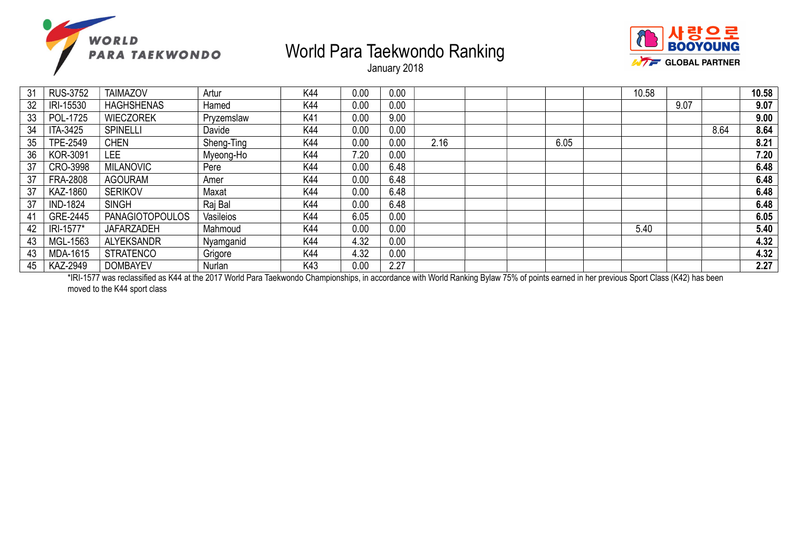



January 2018

| 31 | <b>RUS-3752</b> | <b>TAIMAZOV</b>        | Artur      | K44 | 0.00 | 0.00 |      |      | 10.58 |      |      | 10.58 |
|----|-----------------|------------------------|------------|-----|------|------|------|------|-------|------|------|-------|
| 32 | IRI-15530       | <b>HAGHSHENAS</b>      | Hamed      | K44 | 0.00 | 0.00 |      |      |       | 9.07 |      | 9.07  |
| 33 | POL-1725        | <b>WIECZOREK</b>       | Pryzemslaw | K41 | 0.00 | 9.00 |      |      |       |      |      | 9.00  |
| 34 | ITA-3425        | <b>SPINELLI</b>        | Davide     | K44 | 0.00 | 0.00 |      |      |       |      | 8.64 | 8.64  |
| 35 | TPE-2549        | <b>CHEN</b>            | Sheng-Ting | K44 | 0.00 | 0.00 | 2.16 | 6.05 |       |      |      | 8.21  |
| 36 | <b>KOR-3091</b> | LEE                    | Myeong-Ho  | K44 | 7.20 | 0.00 |      |      |       |      |      | 7.20  |
| 37 | CRO-3998        | <b>MILANOVIC</b>       | Pere       | K44 | 0.00 | 6.48 |      |      |       |      |      | 6.48  |
| 37 | <b>FRA-2808</b> | <b>AGOURAM</b>         | Amer       | K44 | 0.00 | 6.48 |      |      |       |      |      | 6.48  |
| 37 | <b>KAZ-1860</b> | <b>SERIKOV</b>         | Maxat      | K44 | 0.00 | 6.48 |      |      |       |      |      | 6.48  |
| 37 | <b>IND-1824</b> | <b>SINGH</b>           | Raj Bal    | K44 | 0.00 | 6.48 |      |      |       |      |      | 6.48  |
| 41 | GRE-2445        | <b>PANAGIOTOPOULOS</b> | Vasileios  | K44 | 6.05 | 0.00 |      |      |       |      |      | 6.05  |
| 42 | IRI-1577*       | <b>JAFARZADEH</b>      | Mahmoud    | K44 | 0.00 | 0.00 |      |      | 5.40  |      |      | 5.40  |
| 43 | MGL-1563        | <b>ALYEKSANDR</b>      | Nyamganid  | K44 | 4.32 | 0.00 |      |      |       |      |      | 4.32  |
| 43 | MDA-1615        | <b>STRATENCO</b>       | Grigore    | K44 | 4.32 | 0.00 |      |      |       |      |      | 4.32  |
| 45 | <b>KAZ-2949</b> | <b>DOMBAYEV</b>        | Nurlan     | K43 | 0.00 | 2.27 |      |      |       |      |      | 2.27  |

\*IRI-1577 was reclassified as K44 at the 2017 World Para Taekwondo Championships, in accordance with World Ranking Bylaw 75% of points earned in her previous Sport Class (K42) has been moved to the K44 sport class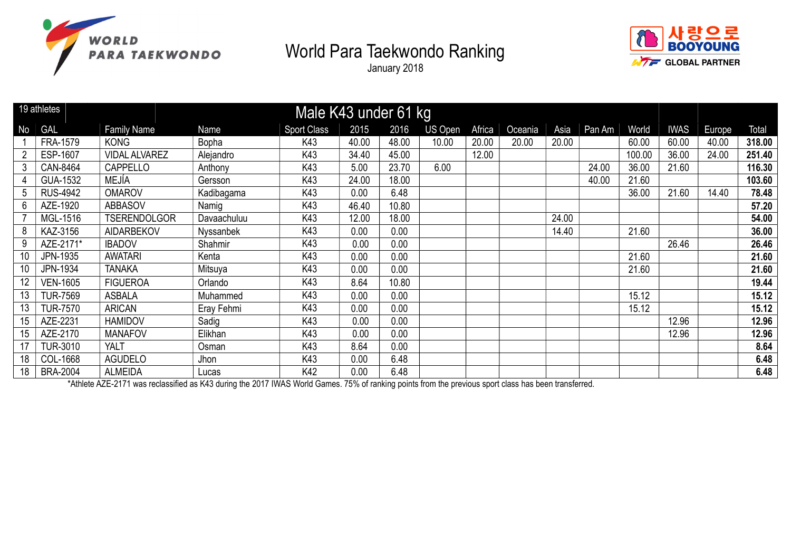

January 2018



|    | 19 athletes     |                      |             | Male K43 under 61 kg |       |       |         |        |         |       |        |        |             |        |        |
|----|-----------------|----------------------|-------------|----------------------|-------|-------|---------|--------|---------|-------|--------|--------|-------------|--------|--------|
| No | GAL             | <b>Family Name</b>   | Name        | <b>Sport Class</b>   | 2015  | 2016  | US Open | Africa | Oceania | Asia  | Pan Am | World  | <b>IWAS</b> | Europe | Total  |
|    | FRA-1579        | <b>KONG</b>          | Bopha       | K43                  | 40.00 | 48.00 | 10.00   | 20.00  | 20.00   | 20.00 |        | 60.00  | 60.00       | 40.00  | 318.00 |
|    | ESP-1607        | <b>VIDAL ALVAREZ</b> | Alejandro   | K43                  | 34.40 | 45.00 |         | 12.00  |         |       |        | 100.00 | 36.00       | 24.00  | 251.40 |
| 3  | CAN-8464        | <b>CAPPELLO</b>      | Anthony     | K43                  | 5.00  | 23.70 | 6.00    |        |         |       | 24.00  | 36.00  | 21.60       |        | 116.30 |
| 4  | GUA-1532        | MEJÍA                | Gersson     | K43                  | 24.00 | 18.00 |         |        |         |       | 40.00  | 21.60  |             |        | 103.60 |
| 5  | <b>RUS-4942</b> | <b>OMAROV</b>        | Kadibagama  | K43                  | 0.00  | 6.48  |         |        |         |       |        | 36.00  | 21.60       | 14.40  | 78.48  |
| 6  | AZE-1920        | <b>ABBASOV</b>       | Namig       | K43                  | 46.40 | 10.80 |         |        |         |       |        |        |             |        | 57.20  |
|    | MGL-1516        | <b>TSERENDOLGOR</b>  | Davaachuluu | K43                  | 12.00 | 18.00 |         |        |         | 24.00 |        |        |             |        | 54.00  |
| 8  | KAZ-3156        | <b>AIDARBEKOV</b>    | Nyssanbek   | K43                  | 0.00  | 0.00  |         |        |         | 14.40 |        | 21.60  |             |        | 36.00  |
| 9  | AZE-2171*       | <b>IBADOV</b>        | Shahmir     | K43                  | 0.00  | 0.00  |         |        |         |       |        |        | 26.46       |        | 26.46  |
| 10 | JPN-1935        | <b>AWATARI</b>       | Kenta       | K43                  | 0.00  | 0.00  |         |        |         |       |        | 21.60  |             |        | 21.60  |
| 10 | JPN-1934        | <b>TANAKA</b>        | Mitsuya     | K43                  | 0.00  | 0.00  |         |        |         |       |        | 21.60  |             |        | 21.60  |
| 12 | <b>VEN-1605</b> | <b>FIGUEROA</b>      | Orlando     | K43                  | 8.64  | 10.80 |         |        |         |       |        |        |             |        | 19.44  |
| 13 | <b>TUR-7569</b> | <b>ASBALA</b>        | Muhammed    | K43                  | 0.00  | 0.00  |         |        |         |       |        | 15.12  |             |        | 15.12  |
| 13 | <b>TUR-7570</b> | <b>ARICAN</b>        | Eray Fehmi  | K43                  | 0.00  | 0.00  |         |        |         |       |        | 15.12  |             |        | 15.12  |
| 15 | AZE-2231        | <b>HAMIDOV</b>       | Sadig       | K43                  | 0.00  | 0.00  |         |        |         |       |        |        | 12.96       |        | 12.96  |
| 15 | AZE-2170        | <b>MANAFOV</b>       | Elikhan     | K43                  | 0.00  | 0.00  |         |        |         |       |        |        | 12.96       |        | 12.96  |
| 17 | <b>TUR-3010</b> | <b>YALT</b>          | Osman       | K43                  | 8.64  | 0.00  |         |        |         |       |        |        |             |        | 8.64   |
| 18 | COL-1668        | <b>AGUDELO</b>       | Jhon        | K43                  | 0.00  | 6.48  |         |        |         |       |        |        |             |        | 6.48   |
| 18 | <b>BRA-2004</b> | <b>ALMEIDA</b>       | Lucas       | K42                  | 0.00  | 6.48  |         |        |         |       |        |        |             |        | 6.48   |

\*Athlete AZE-2171 was reclassified as K43 during the 2017 IWAS World Games. 75% of ranking points from the previous sport class has been transferred.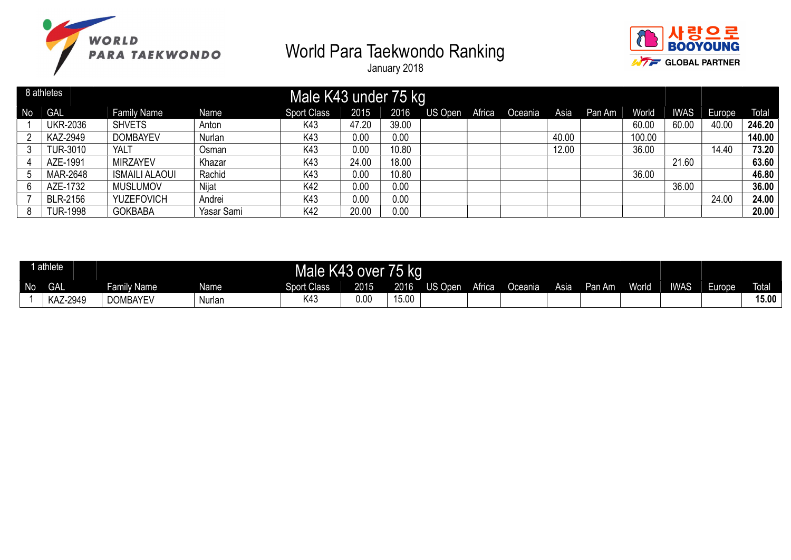



|    | 8 athletes      |                       |            | Male K43 under 75 kg |       |       |         |        |         |       |        |              |             |        |              |
|----|-----------------|-----------------------|------------|----------------------|-------|-------|---------|--------|---------|-------|--------|--------------|-------------|--------|--------------|
| No | GAL             | <b>Family Name</b>    | Name       | <b>Sport Class</b>   | 2015  | 2016  | US Open | Africa | Oceania | Asia  | Pan Am | <b>World</b> | <b>IWAS</b> | Europe | <b>Total</b> |
|    | <b>UKR-2036</b> | <b>SHVETS</b>         | Anton      | K43                  | 47.20 | 39.00 |         |        |         |       |        | 60.00        | 60.00       | 40.00  | 246.20       |
|    | KAZ-2949        | <b>DOMBAYEV</b>       | Nurlan     | K43                  | 0.00  | 0.00  |         |        |         | 40.00 |        | 100.00       |             |        | 140.00       |
| 3  | <b>TUR-3010</b> | YALT                  | Osman      | K43                  | 0.00  | 10.80 |         |        |         | 12.00 |        | 36.00        |             | 14.40  | 73.20        |
|    | AZE-1991        | <b>MIRZAYEV</b>       | Khazar     | K43                  | 24.00 | 18.00 |         |        |         |       |        |              | 21.60       |        | 63.60        |
|    | MAR-2648        | <b>ISMAILI ALAOUI</b> | Rachid     | K43                  | 0.00  | 10.80 |         |        |         |       |        | 36.00        |             |        | 46.80        |
| 6  | AZE-1732        | <b>MUSLUMOV</b>       | Nijat      | K42                  | 0.00  | 0.00  |         |        |         |       |        |              | 36.00       |        | 36.00        |
|    | <b>BLR-2156</b> | <b>YUZEFOVICH</b>     | Andrei     | K43                  | 0.00  | 0.00  |         |        |         |       |        |              |             | 24.00  | 24.00        |
| 8  | <b>TUR-1998</b> | <b>GOKBABA</b>        | Yasar Sami | K42                  | 20.00 | 0.00  |         |        |         |       |        |              |             |        | 20.00        |

|    | athlete              |                 |        | Male               | K43 over | − —<br>/5 kg |         |        |         |      |        |       |             |        |              |
|----|----------------------|-----------------|--------|--------------------|----------|--------------|---------|--------|---------|------|--------|-------|-------------|--------|--------------|
| No | $\sim$ $\sim$<br>UAL | Family Name     | Name   | <b>Sport Class</b> | 2015     | 2016         | US Open | Africa | Oceania | Asia | Pan Am | World | <b>IWAS</b> | Europe | <b>Total</b> |
|    | KAZ-2949             | <b>DOMBAYEV</b> | Nurlar | K4:                | 0.00     | 15.00        |         |        |         |      |        |       |             |        | 15.00        |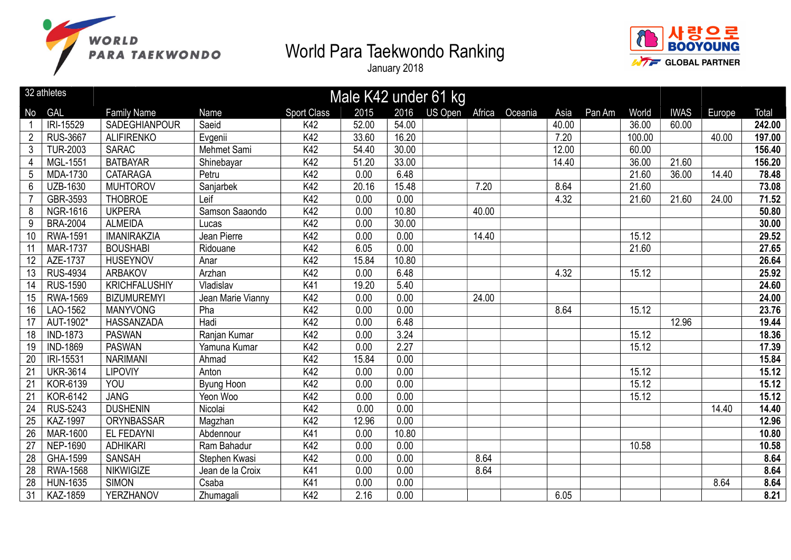



|                 | 32 athletes     |                      |                   |                    |       |       | Male K42 under 61 kg |        |         |       |        |        |             |        |        |
|-----------------|-----------------|----------------------|-------------------|--------------------|-------|-------|----------------------|--------|---------|-------|--------|--------|-------------|--------|--------|
| No              | GAL             | <b>Family Name</b>   | <b>Name</b>       | <b>Sport Class</b> | 2015  | 2016  | <b>US Open</b>       | Africa | Oceania | Asia  | Pan Am | World  | <b>IWAS</b> | Europe | Total  |
|                 | IRI-15529       | SADEGHIANPOUR        | Saeid             | K42                | 52.00 | 54.00 |                      |        |         | 40.00 |        | 36.00  | 60.00       |        | 242.00 |
| $\overline{2}$  | <b>RUS-3667</b> | <b>ALIFIRENKO</b>    | Evgenii           | K42                | 33.60 | 16.20 |                      |        |         | 7.20  |        | 100.00 |             | 40.00  | 197.00 |
| 3               | <b>TUR-2003</b> | <b>SARAC</b>         | Mehmet Sami       | K42                | 54.40 | 30.00 |                      |        |         | 12.00 |        | 60.00  |             |        | 156.40 |
| 4               | MGL-1551        | <b>BATBAYAR</b>      | Shinebayar        | K42                | 51.20 | 33.00 |                      |        |         | 14.40 |        | 36.00  | 21.60       |        | 156.20 |
| 5               | MDA-1730        | <b>CATARAGA</b>      | Petru             | K42                | 0.00  | 6.48  |                      |        |         |       |        | 21.60  | 36.00       | 14.40  | 78.48  |
| 6               | <b>UZB-1630</b> | <b>MUHTOROV</b>      | Sanjarbek         | K42                | 20.16 | 15.48 |                      | 7.20   |         | 8.64  |        | 21.60  |             |        | 73.08  |
|                 | GBR-3593        | <b>THOBROE</b>       | Leif              | K42                | 0.00  | 0.00  |                      |        |         | 4.32  |        | 21.60  | 21.60       | 24.00  | 71.52  |
| 8               | <b>NGR-1616</b> | <b>UKPERA</b>        | Samson Saaondo    | K42                | 0.00  | 10.80 |                      | 40.00  |         |       |        |        |             |        | 50.80  |
| 9               | <b>BRA-2004</b> | <b>ALMEIDA</b>       | Lucas             | K42                | 0.00  | 30.00 |                      |        |         |       |        |        |             |        | 30.00  |
| 10              | RWA-1591        | <b>IMANIRAKZIA</b>   | Jean Pierre       | K42                | 0.00  | 0.00  |                      | 14.40  |         |       |        | 15.12  |             |        | 29.52  |
| 11              | <b>MAR-1737</b> | <b>BOUSHABI</b>      | Ridouane          | K42                | 6.05  | 0.00  |                      |        |         |       |        | 21.60  |             |        | 27.65  |
| 12              | AZE-1737        | <b>HUSEYNOV</b>      | Anar              | K42                | 15.84 | 10.80 |                      |        |         |       |        |        |             |        | 26.64  |
| 13              | <b>RUS-4934</b> | <b>ARBAKOV</b>       | Arzhan            | K42                | 0.00  | 6.48  |                      |        |         | 4.32  |        | 15.12  |             |        | 25.92  |
| 14              | <b>RUS-1590</b> | <b>KRICHFALUSHIY</b> | Vladislav         | K41                | 19.20 | 5.40  |                      |        |         |       |        |        |             |        | 24.60  |
| 15              | <b>RWA-1569</b> | <b>BIZUMUREMYI</b>   | Jean Marie Vianny | K42                | 0.00  | 0.00  |                      | 24.00  |         |       |        |        |             |        | 24.00  |
| 16              | LAO-1562        | <b>MANYVONG</b>      | Pha               | K42                | 0.00  | 0.00  |                      |        |         | 8.64  |        | 15.12  |             |        | 23.76  |
| 17              | AUT-1902*       | <b>HASSANZADA</b>    | Hadi              | K42                | 0.00  | 6.48  |                      |        |         |       |        |        | 12.96       |        | 19.44  |
| 18              | <b>IND-1873</b> | <b>PASWAN</b>        | Ranjan Kumar      | K42                | 0.00  | 3.24  |                      |        |         |       |        | 15.12  |             |        | 18.36  |
| 19              | <b>IND-1869</b> | <b>PASWAN</b>        | Yamuna Kumar      | K42                | 0.00  | 2.27  |                      |        |         |       |        | 15.12  |             |        | 17.39  |
| 20              | IRI-15531       | <b>NARIMANI</b>      | Ahmad             | K42                | 15.84 | 0.00  |                      |        |         |       |        |        |             |        | 15.84  |
| 21              | <b>UKR-3614</b> | <b>LIPOVIY</b>       | Anton             | K42                | 0.00  | 0.00  |                      |        |         |       |        | 15.12  |             |        | 15.12  |
| 21              | KOR-6139        | YOU                  | Byung Hoon        | K42                | 0.00  | 0.00  |                      |        |         |       |        | 15.12  |             |        | 15.12  |
| 21              | KOR-6142        | <b>JANG</b>          | Yeon Woo          | K42                | 0.00  | 0.00  |                      |        |         |       |        | 15.12  |             |        | 15.12  |
| 24              | <b>RUS-5243</b> | <b>DUSHENIN</b>      | Nicolai           | K42                | 0.00  | 0.00  |                      |        |         |       |        |        |             | 14.40  | 14.40  |
| 25              | <b>KAZ-1997</b> | <b>ORYNBASSAR</b>    | Magzhan           | K42                | 12.96 | 0.00  |                      |        |         |       |        |        |             |        | 12.96  |
| 26              | <b>MAR-1600</b> | EL FEDAYNI           | Abdennour         | K41                | 0.00  | 10.80 |                      |        |         |       |        |        |             |        | 10.80  |
| 27              | <b>NEP-1690</b> | <b>ADHIKARI</b>      | Ram Bahadur       | K42                | 0.00  | 0.00  |                      |        |         |       |        | 10.58  |             |        | 10.58  |
| $\overline{28}$ | GHA-1599        | <b>SANSAH</b>        | Stephen Kwasi     | K42                | 0.00  | 0.00  |                      | 8.64   |         |       |        |        |             |        | 8.64   |
| 28              | <b>RWA-1568</b> | <b>NIKWIGIZE</b>     | Jean de la Croix  | K41                | 0.00  | 0.00  |                      | 8.64   |         |       |        |        |             |        | 8.64   |
| 28              | <b>HUN-1635</b> | <b>SIMON</b>         | Csaba             | K41                | 0.00  | 0.00  |                      |        |         |       |        |        |             | 8.64   | 8.64   |
| 31              | KAZ-1859        | YERZHANOV            | Zhumagali         | K42                | 2.16  | 0.00  |                      |        |         | 6.05  |        |        |             |        | 8.21   |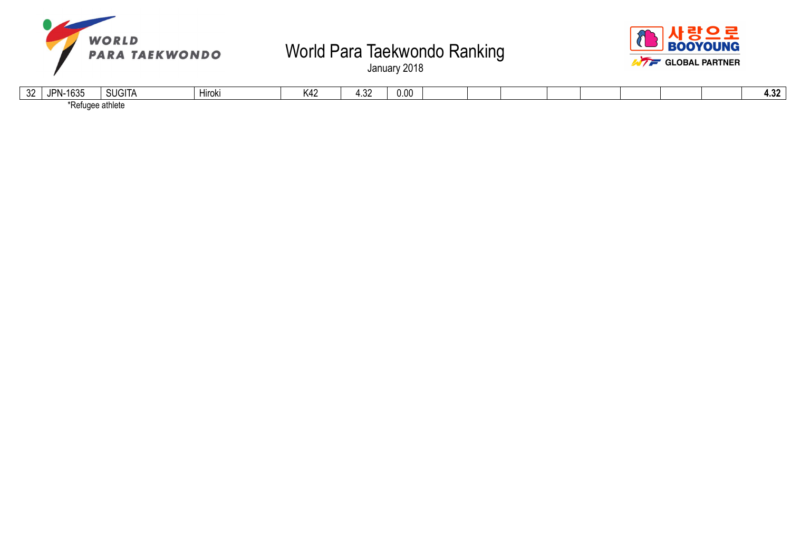



| $\Omega$<br>◡▵ | .<br>$\overline{\phantom{a}}$<br>IPN.<br>. | $1$ $\cap$ $1$ $\top$<br>'' Ille | $\cdots$<br>Hiroki | ۷۸۷<br>∿≁⊷ | $\sim$<br>1.VL | 0.00 |  |  |  |  | $\sim$<br>TIVA |
|----------------|--------------------------------------------|----------------------------------|--------------------|------------|----------------|------|--|--|--|--|----------------|
|                | $*D$ of $\cdot$<br>une<br>neı.             | thleto                           |                    |            |                |      |  |  |  |  |                |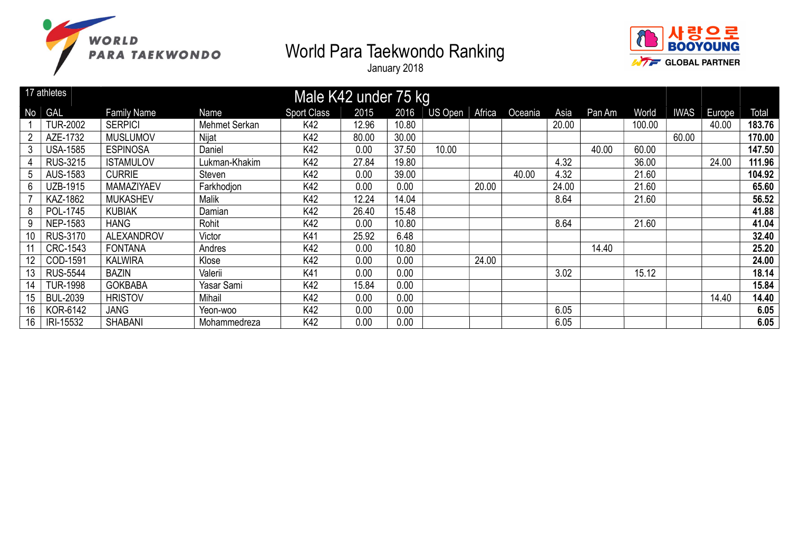



|    | 17 athletes     |                    |               | Male K42 under 75 kg |       |       |         |        |         |       |        |        |             |        |        |
|----|-----------------|--------------------|---------------|----------------------|-------|-------|---------|--------|---------|-------|--------|--------|-------------|--------|--------|
| No | <b>GAL</b>      | <b>Family Name</b> | Name          | <b>Sport Class</b>   | 2015  | 2016  | US Open | Africa | Oceania | Asia  | Pan Am | World  | <b>IWAS</b> | Europe | Total  |
|    | <b>TUR-2002</b> | <b>SERPICI</b>     | Mehmet Serkan | K42                  | 12.96 | 10.80 |         |        |         | 20.00 |        | 100.00 |             | 40.00  | 183.76 |
|    | AZE-1732        | <b>MUSLUMOV</b>    | Nijat         | K42                  | 80.00 | 30.00 |         |        |         |       |        |        | 60.00       |        | 170.00 |
| 3  | <b>USA-1585</b> | <b>ESPINOSA</b>    | Daniel        | K42                  | 0.00  | 37.50 | 10.00   |        |         |       | 40.00  | 60.00  |             |        | 147.50 |
|    | <b>RUS-3215</b> | <b>ISTAMULOV</b>   | Lukman-Khakim | K42                  | 27.84 | 19.80 |         |        |         | 4.32  |        | 36.00  |             | 24.00  | 111.96 |
| 5  | AUS-1583        | <b>CURRIE</b>      | Steven        | K42                  | 0.00  | 39.00 |         |        | 40.00   | 4.32  |        | 21.60  |             |        | 104.92 |
| 6  | <b>UZB-1915</b> | MAMAZIYAEV         | Farkhodjon    | K42                  | 0.00  | 0.00  |         | 20.00  |         | 24.00 |        | 21.60  |             |        | 65.60  |
|    | KAZ-1862        | <b>MUKASHEV</b>    | Malik         | K42                  | 12.24 | 14.04 |         |        |         | 8.64  |        | 21.60  |             |        | 56.52  |
| 8  | POL-1745        | <b>KUBIAK</b>      | Damian        | K42                  | 26.40 | 15.48 |         |        |         |       |        |        |             |        | 41.88  |
| 9  | <b>NEP-1583</b> | <b>HANG</b>        | Rohit         | K42                  | 0.00  | 10.80 |         |        |         | 8.64  |        | 21.60  |             |        | 41.04  |
| 10 | <b>RUS-3170</b> | <b>ALEXANDROV</b>  | Victor        | K41                  | 25.92 | 6.48  |         |        |         |       |        |        |             |        | 32.40  |
|    | CRC-1543        | <b>FONTANA</b>     | Andres        | K42                  | 0.00  | 10.80 |         |        |         |       | 14.40  |        |             |        | 25.20  |
|    | COD-1591        | <b>KALWIRA</b>     | Klose         | K42                  | 0.00  | 0.00  |         | 24.00  |         |       |        |        |             |        | 24.00  |
| 13 | <b>RUS-5544</b> | <b>BAZIN</b>       | Valerii       | K41                  | 0.00  | 0.00  |         |        |         | 3.02  |        | 15.12  |             |        | 18.14  |
| 14 | <b>TUR-1998</b> | <b>GOKBABA</b>     | Yasar Sami    | K42                  | 15.84 | 0.00  |         |        |         |       |        |        |             |        | 15.84  |
| 15 | <b>BUL-2039</b> | <b>HRISTOV</b>     | Mihail        | K42                  | 0.00  | 0.00  |         |        |         |       |        |        |             | 14.40  | 14.40  |
| 16 | KOR-6142        | <b>JANG</b>        | Yeon-woo      | K42                  | 0.00  | 0.00  |         |        |         | 6.05  |        |        |             |        | 6.05   |
| 16 | IRI-15532       | <b>SHABANI</b>     | Mohammedreza  | K42                  | 0.00  | 0.00  |         |        |         | 6.05  |        |        |             |        | 6.05   |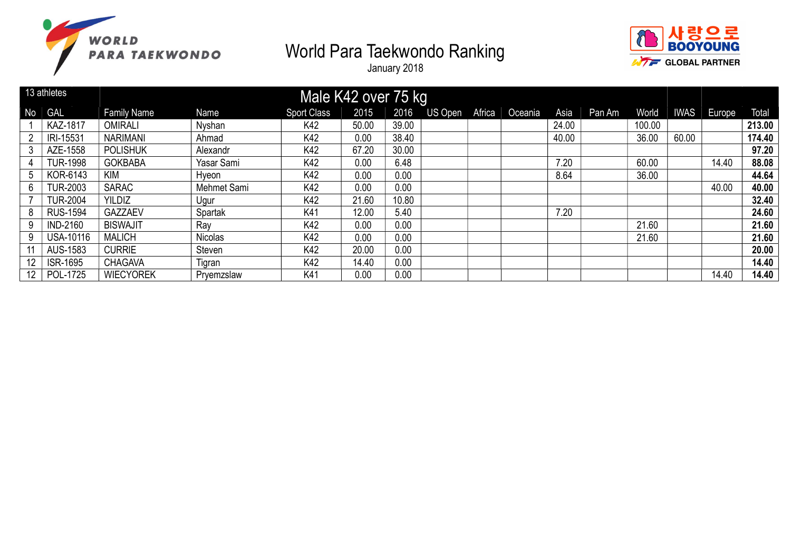



|                | 13 athletes      |                    |                | Male K42 over 75 kg |       |       |         |        |         |       |        |        |             |        |        |
|----------------|------------------|--------------------|----------------|---------------------|-------|-------|---------|--------|---------|-------|--------|--------|-------------|--------|--------|
| N <sub>o</sub> | <b>GAL</b>       | <b>Family Name</b> | Name           | <b>Sport Class</b>  | 2015  | 2016  | US Open | Africa | Oceania | Asia  | Pan Am | World  | <b>IWAS</b> | Europe | Total  |
|                | <b>KAZ-1817</b>  | <b>OMIRALI</b>     | Nyshan         | K42                 | 50.00 | 39.00 |         |        |         | 24.00 |        | 100.00 |             |        | 213.00 |
| 2              | IRI-15531        | <b>NARIMANI</b>    | Ahmad          | K42                 | 0.00  | 38.40 |         |        |         | 40.00 |        | 36.00  | 60.00       |        | 174.40 |
| 3              | AZE-1558         | <b>POLISHUK</b>    | Alexandr       | K42                 | 67.20 | 30.00 |         |        |         |       |        |        |             |        | 97.20  |
|                | <b>TUR-1998</b>  | <b>GOKBABA</b>     | Yasar Sami     | K42                 | 0.00  | 6.48  |         |        |         | 7.20  |        | 60.00  |             | 14.40  | 88.08  |
| 5              | KOR-6143         | <b>KIM</b>         | Hyeon          | K42                 | 0.00  | 0.00  |         |        |         | 8.64  |        | 36.00  |             |        | 44.64  |
| 6              | <b>TUR-2003</b>  | <b>SARAC</b>       | Mehmet Sami    | K42                 | 0.00  | 0.00  |         |        |         |       |        |        |             | 40.00  | 40.00  |
|                | <b>TUR-2004</b>  | <b>YILDIZ</b>      | Ugur           | K42                 | 21.60 | 10.80 |         |        |         |       |        |        |             |        | 32.40  |
| 8              | <b>RUS-1594</b>  | <b>GAZZAEV</b>     | Spartak        | K41                 | 12.00 | 5.40  |         |        |         | 7.20  |        |        |             |        | 24.60  |
| 9              | <b>IND-2160</b>  | <b>BISWAJIT</b>    | Rav            | K42                 | 0.00  | 0.00  |         |        |         |       |        | 21.60  |             |        | 21.60  |
| 9              | <b>USA-10116</b> | <b>MALICH</b>      | <b>Nicolas</b> | K42                 | 0.00  | 0.00  |         |        |         |       |        | 21.60  |             |        | 21.60  |
|                | AUS-1583         | <b>CURRIE</b>      | Steven         | K42                 | 20.00 | 0.00  |         |        |         |       |        |        |             |        | 20.00  |
|                | <b>ISR-1695</b>  | <b>CHAGAVA</b>     | Tigran         | K42                 | 14.40 | 0.00  |         |        |         |       |        |        |             |        | 14.40  |
| 12             | POL-1725         | <b>WIECYOREK</b>   | Pryemzslaw     | K41                 | 0.00  | 0.00  |         |        |         |       |        |        |             | 14.40  | 14.40  |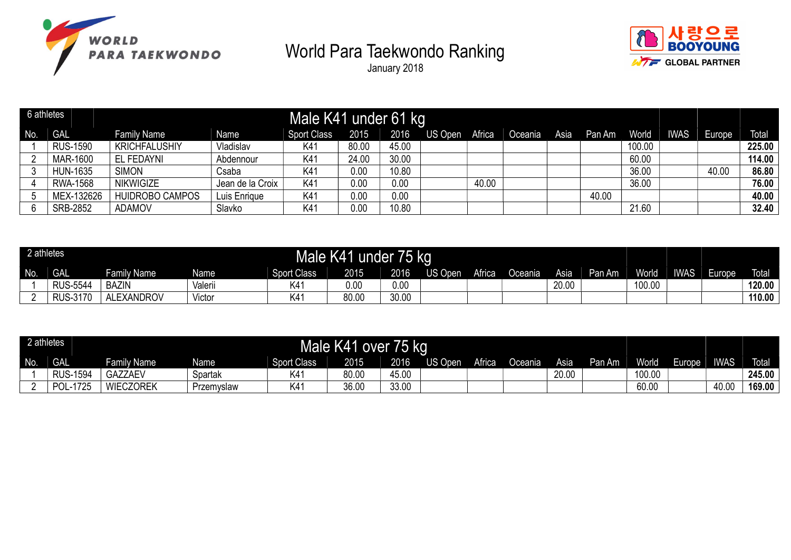





| 6 athletes |                 |                        |                  | Male K41 under 61 kg |       |       |         |        |         |      |        |        |            |        |              |
|------------|-----------------|------------------------|------------------|----------------------|-------|-------|---------|--------|---------|------|--------|--------|------------|--------|--------------|
| No.        | <b>GAL</b>      | <b>Family Name</b>     | Name             | Sport Class          | 2015  | 2016  | US Open | Africa | Oceania | Asia | Pan Am | World  | <b>WAS</b> | Europe | <b>Total</b> |
|            | <b>RUS-1590</b> | <b>KRICHFALUSHIY</b>   | Vladislav        | K41                  | 80.00 | 45.00 |         |        |         |      |        | 100.00 |            |        | 225.00       |
|            | MAR-1600        | EL FEDAYNI             | Abdennour        | K41                  | 24.00 | 30.00 |         |        |         |      |        | 60.00  |            |        | 114.00       |
|            | <b>HUN-1635</b> | <b>SIMON</b>           | Csaba            | K41                  | 0.00  | 10.80 |         |        |         |      |        | 36.00  |            | 40.00  | 86.80        |
|            | RWA-1568        | <b>NIKWIGIZE</b>       | Jean de la Croix | K41                  | 0.00  | 0.00  |         | 40.00  |         |      |        | 36.00  |            |        | 76.00        |
|            | MEX-132626      | <b>HUIDROBO CAMPOS</b> | Luis Enrique     | K41                  | 0.00  | 0.00  |         |        |         |      | 40.00  |        |            |        | 40.00        |
|            | <b>SRB-2852</b> | <b>ADAMOV</b>          | Slavko           | K41                  | 0.00  | 10.80 |         |        |         |      |        | 21.60  |            |        | 32.40        |

| 2 athletes |                   |                    |             | Male K41           | under | 75 kg |         |        |         |       |        |              |             |        |              |
|------------|-------------------|--------------------|-------------|--------------------|-------|-------|---------|--------|---------|-------|--------|--------------|-------------|--------|--------------|
| No.        | <b>GAL</b>        | <b>Family Name</b> | <b>Name</b> | <b>Sport Class</b> | 2015  | 2016  | US Open | Africa | Oceania | Asia  | Pan Am | <b>World</b> | <b>IWAS</b> | Europe | <b>Total</b> |
|            | <b>RUS-5544</b>   | <b>BAZIN</b>       | Valerii     | ٬4                 | 0.00  | 0.00  |         |        |         | 20.00 |        | 100.00       |             |        | 120.00       |
|            | $-3170$<br>RUS-31 | <b>ALEXANDROV</b>  | Victor      | $\langle 41$       | 80.00 | 30.00 |         |        |         |       |        |              |             |        | 110.00       |

| 2 athletes |                 |                  |                   |                    | Male K41 over | 75 kg |         |        |           |       |        |              |        |             |              |
|------------|-----------------|------------------|-------------------|--------------------|---------------|-------|---------|--------|-----------|-------|--------|--------------|--------|-------------|--------------|
| No.        | <b>GAL</b>      | Family Name      | Name <sup>®</sup> | <b>Sport Class</b> | 2015          | 2016  | JS Open | Africa | Oceania I | Asia  | Pan Am | <b>World</b> | Europe | <b>IWAS</b> | <b>Total</b> |
|            | <b>RUS-1594</b> | GAZZAEV          | Spartak           | K4                 | 80.00         | 45.00 |         |        |           | 20.00 |        | 100.00       |        |             | 245.00       |
|            | 1725<br>וחם     | <b>WIECZOREK</b> | Przemyslaw        | K41                | 36.00         | 33.00 |         |        |           |       |        | 60.00        |        | 40.00       | 169.00       |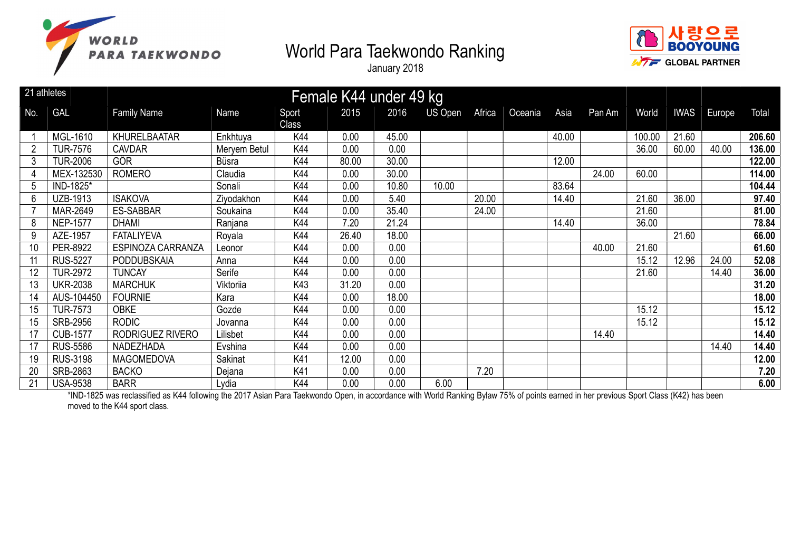



January 2018

| 21 athletes |                 |                    | Female K44 under 49 kg |                |       |       |         |        |         |       |        |        |       |             |        |
|-------------|-----------------|--------------------|------------------------|----------------|-------|-------|---------|--------|---------|-------|--------|--------|-------|-------------|--------|
| No.         | <b>GAL</b>      | <b>Family Name</b> | Name                   | Sport<br>Class | 2015  | 2016  | US Open | Africa | Oceania | Asia  | Pan Am | World  |       | IWAS Europe | Total  |
|             | MGL-1610        | KHURELBAATAR       | Enkhtuya               | K44            | 0.00  | 45.00 |         |        |         | 40.00 |        | 100.00 | 21.60 |             | 206.60 |
|             | <b>TUR-7576</b> | <b>CAVDAR</b>      | Meryem Betul           | K44            | 0.00  | 0.00  |         |        |         |       |        | 36.00  | 60.00 | 40.00       | 136.00 |
| 3           | <b>TUR-2006</b> | GÖR                | Büsra                  | K44            | 80.00 | 30.00 |         |        |         | 12.00 |        |        |       |             | 122.00 |
|             | MEX-132530      | <b>ROMERO</b>      | Claudia                | K44            | 0.00  | 30.00 |         |        |         |       | 24.00  | 60.00  |       |             | 114.00 |
| 5           | IND-1825*       |                    | Sonali                 | K44            | 0.00  | 10.80 | 10.00   |        |         | 83.64 |        |        |       |             | 104.44 |
| 6           | UZB-1913        | <b>ISAKOVA</b>     | Ziyodakhon             | K44            | 0.00  | 5.40  |         | 20.00  |         | 14.40 |        | 21.60  | 36.00 |             | 97.40  |
|             | MAR-2649        | <b>ES-SABBAR</b>   | Soukaina               | K44            | 0.00  | 35.40 |         | 24.00  |         |       |        | 21.60  |       |             | 81.00  |
| 8           | <b>NEP-1577</b> | <b>DHAMI</b>       | Ranjana                | K44            | 7.20  | 21.24 |         |        |         | 14.40 |        | 36.00  |       |             | 78.84  |
| 9           | AZE-1957        | <b>FATALIYEVA</b>  | Royala                 | K44            | 26.40 | 18.00 |         |        |         |       |        |        | 21.60 |             | 66.00  |
| 10          | PER-8922        | ESPINOZA CARRANZA  | Leonor                 | K44            | 0.00  | 0.00  |         |        |         |       | 40.00  | 21.60  |       |             | 61.60  |
| 11          | <b>RUS-5227</b> | <b>PODDUBSKAIA</b> | Anna                   | K44            | 0.00  | 0.00  |         |        |         |       |        | 15.12  | 12.96 | 24.00       | 52.08  |
| 12          | <b>TUR-2972</b> | <b>TUNCAY</b>      | Serife                 | K44            | 0.00  | 0.00  |         |        |         |       |        | 21.60  |       | 14.40       | 36.00  |
| 13          | <b>UKR-2038</b> | <b>MARCHUK</b>     | Viktoriia              | K43            | 31.20 | 0.00  |         |        |         |       |        |        |       |             | 31.20  |
| 14          | AUS-104450      | <b>FOURNIE</b>     | Kara                   | <b>K44</b>     | 0.00  | 18.00 |         |        |         |       |        |        |       |             | 18.00  |
| 15          | <b>TUR-7573</b> | <b>OBKE</b>        | Gozde                  | K44            | 0.00  | 0.00  |         |        |         |       |        | 15.12  |       |             | 15.12  |
| 15          | <b>SRB-2956</b> | <b>RODIC</b>       | Jovanna                | K44            | 0.00  | 0.00  |         |        |         |       |        | 15.12  |       |             | 15.12  |
| 17          | <b>CUB-1577</b> | RODRIGUEZ RIVERO   | Lilisbet               | K44            | 0.00  | 0.00  |         |        |         |       | 14.40  |        |       |             | 14.40  |
| 17          | <b>RUS-5586</b> | NADEZHADA          | Evshina                | K44            | 0.00  | 0.00  |         |        |         |       |        |        |       | 14.40       | 14.40  |
| 19          | <b>RUS-3198</b> | <b>MAGOMEDOVA</b>  | Sakinat                | K41            | 12.00 | 0.00  |         |        |         |       |        |        |       |             | 12.00  |
| 20          | SRB-2863        | <b>BACKO</b>       | Dejana                 | K41            | 0.00  | 0.00  |         | 7.20   |         |       |        |        |       |             | 7.20   |
| 21          | <b>USA-9538</b> | <b>BARR</b>        | Lydia                  | K44            | 0.00  | 0.00  | 6.00    |        |         |       |        |        |       |             | 6.00   |

\*IND-1825 was reclassified as K44 following the 2017 Asian Para Taekwondo Open, in accordance with World Ranking Bylaw 75% of points earned in her previous Sport Class (K42) has been moved to the K44 sport class.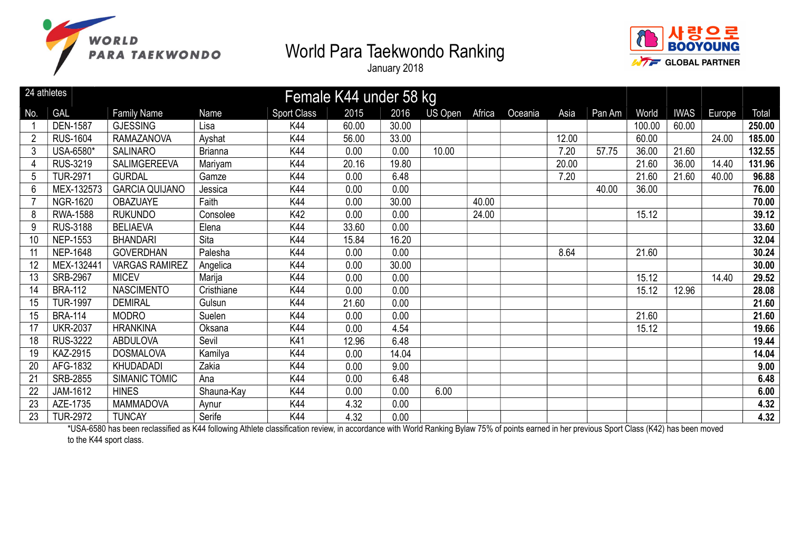



January 2018

| 24 athletes<br>Female K44 under 58 kg |                 |                       |                |                    |       |       |         |        |         |       |        |        |             |        |        |
|---------------------------------------|-----------------|-----------------------|----------------|--------------------|-------|-------|---------|--------|---------|-------|--------|--------|-------------|--------|--------|
| No.                                   | <b>GAL</b>      | <b>Family Name</b>    | Name           | <b>Sport Class</b> | 2015  | 2016  | US Open | Africa | Oceania | Asia  | Pan Am | World  | <b>IWAS</b> | Europe | Total  |
|                                       | <b>DEN-1587</b> | <b>GJESSING</b>       | Lisa           | K44                | 60.00 | 30.00 |         |        |         |       |        | 100.00 | 60.00       |        | 250.00 |
|                                       | <b>RUS-1604</b> | <b>RAMAZANOVA</b>     | Ayshat         | K44                | 56.00 | 33.00 |         |        |         | 12.00 |        | 60.00  |             | 24.00  | 185.00 |
| 3                                     | USA-6580*       | <b>SALINARO</b>       | <b>Brianna</b> | K44                | 0.00  | 0.00  | 10.00   |        |         | 7.20  | 57.75  | 36.00  | 21.60       |        | 132.55 |
| 4                                     | RUS-3219        | <b>SALIMGEREEVA</b>   | Mariyam        | K44                | 20.16 | 19.80 |         |        |         | 20.00 |        | 21.60  | 36.00       | 14.40  | 131.96 |
| 5                                     | <b>TUR-2971</b> | <b>GURDAL</b>         | Gamze          | K44                | 0.00  | 6.48  |         |        |         | 7.20  |        | 21.60  | 21.60       | 40.00  | 96.88  |
| 6                                     | MEX-132573      | <b>GARCIA QUIJANO</b> | Jessica        | K44                | 0.00  | 0.00  |         |        |         |       | 40.00  | 36.00  |             |        | 76.00  |
|                                       | <b>NGR-1620</b> | <b>OBAZUAYE</b>       | Faith          | K44                | 0.00  | 30.00 |         | 40.00  |         |       |        |        |             |        | 70.00  |
| 8                                     | RWA-1588        | <b>RUKUNDO</b>        | Consolee       | K42                | 0.00  | 0.00  |         | 24.00  |         |       |        | 15.12  |             |        | 39.12  |
| 9                                     | <b>RUS-3188</b> | <b>BELIAEVA</b>       | Elena          | K44                | 33.60 | 0.00  |         |        |         |       |        |        |             |        | 33.60  |
| 10                                    | <b>NEP-1553</b> | <b>BHANDARI</b>       | Sita           | K44                | 15.84 | 16.20 |         |        |         |       |        |        |             |        | 32.04  |
| 11                                    | <b>NEP-1648</b> | <b>GOVERDHAN</b>      | Palesha        | K44                | 0.00  | 0.00  |         |        |         | 8.64  |        | 21.60  |             |        | 30.24  |
| 12                                    | MEX-132441      | <b>VARGAS RAMIREZ</b> | Angelica       | K44                | 0.00  | 30.00 |         |        |         |       |        |        |             |        | 30.00  |
| 13                                    | <b>SRB-2967</b> | <b>MICEV</b>          | Marija         | K44                | 0.00  | 0.00  |         |        |         |       |        | 15.12  |             | 14.40  | 29.52  |
| 14                                    | <b>BRA-112</b>  | <b>NASCIMENTO</b>     | Cristhiane     | K44                | 0.00  | 0.00  |         |        |         |       |        | 15.12  | 12.96       |        | 28.08  |
| 15                                    | <b>TUR-1997</b> | <b>DEMIRAL</b>        | Gulsun         | K44                | 21.60 | 0.00  |         |        |         |       |        |        |             |        | 21.60  |
| 15                                    | <b>BRA-114</b>  | <b>MODRO</b>          | Suelen         | K44                | 0.00  | 0.00  |         |        |         |       |        | 21.60  |             |        | 21.60  |
| 17                                    | <b>UKR-2037</b> | <b>HRANKINA</b>       | Oksana         | K44                | 0.00  | 4.54  |         |        |         |       |        | 15.12  |             |        | 19.66  |
| 18                                    | <b>RUS-3222</b> | <b>ABDULOVA</b>       | Sevil          | K41                | 12.96 | 6.48  |         |        |         |       |        |        |             |        | 19.44  |
| 19                                    | KAZ-2915        | <b>DOSMALOVA</b>      | Kamilya        | K44                | 0.00  | 14.04 |         |        |         |       |        |        |             |        | 14.04  |
| 20                                    | AFG-1832        | <b>KHUDADADI</b>      | Zakia          | K44                | 0.00  | 9.00  |         |        |         |       |        |        |             |        | 9.00   |
| 21                                    | <b>SRB-2855</b> | SIMANIC TOMIC         | Ana            | K44                | 0.00  | 6.48  |         |        |         |       |        |        |             |        | 6.48   |
| 22                                    | JAM-1612        | <b>HINES</b>          | Shauna-Kay     | K44                | 0.00  | 0.00  | 6.00    |        |         |       |        |        |             |        | 6.00   |
| 23                                    | AZE-1735        | <b>MAMMADOVA</b>      | Aynur          | K44                | 4.32  | 0.00  |         |        |         |       |        |        |             |        | 4.32   |
| 23                                    | <b>TUR-2972</b> | <b>TUNCAY</b>         | Serife         | K44                | 4.32  | 0.00  |         |        |         |       |        |        |             |        | 4.32   |

\*USA-6580 has been reclassified as K44 following Athlete classification review, in accordance with World Ranking Bylaw 75% of points earned in her previous Sport Class (K42) has been moved to the K44 sport class.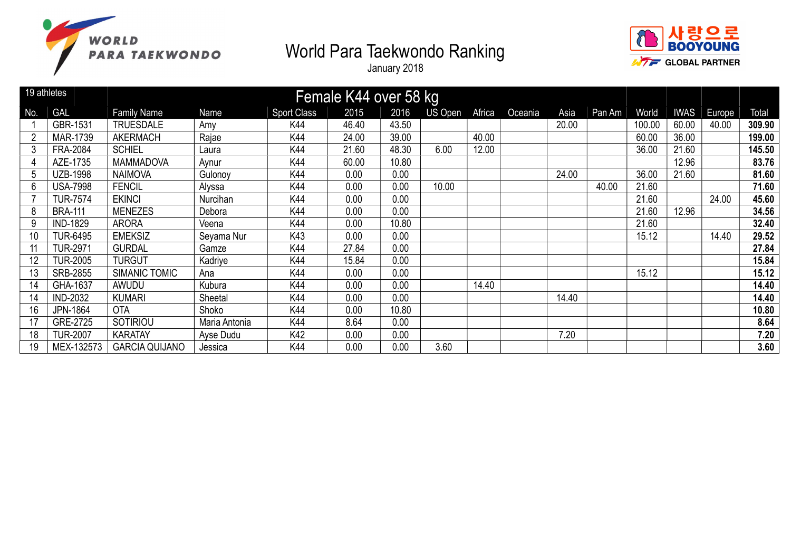



|     | 19 athletes     |                       |               |                    | Female K44 over 58 kg |       |         |        |         |       |        |        |             |        |        |
|-----|-----------------|-----------------------|---------------|--------------------|-----------------------|-------|---------|--------|---------|-------|--------|--------|-------------|--------|--------|
| No. | <b>GAL</b>      | <b>Family Name</b>    | Name          | <b>Sport Class</b> | 2015                  | 2016  | US Open | Africa | Oceania | Asia  | Pan Am | World  | <b>IWAS</b> | Europe | Total  |
|     | GBR-1531        | <b>TRUESDALE</b>      | Amy           | K44                | 46.40                 | 43.50 |         |        |         | 20.00 |        | 100.00 | 60.00       | 40.00  | 309.90 |
|     | MAR-1739        | <b>AKERMACH</b>       | Rajae         | K44                | 24.00                 | 39.00 |         | 40.00  |         |       |        | 60.00  | 36.00       |        | 199.00 |
| 3   | FRA-2084        | <b>SCHIEL</b>         | Laura         | K44                | 21.60                 | 48.30 | 6.00    | 12.00  |         |       |        | 36.00  | 21.60       |        | 145.50 |
| 4   | AZE-1735        | <b>MAMMADOVA</b>      | Aynur         | K44                | 60.00                 | 10.80 |         |        |         |       |        |        | 12.96       |        | 83.76  |
| 5   | <b>UZB-1998</b> | <b>NAIMOVA</b>        | Gulonoy       | K44                | 0.00                  | 0.00  |         |        |         | 24.00 |        | 36.00  | 21.60       |        | 81.60  |
| 6   | <b>USA-7998</b> | <b>FENCIL</b>         | Alyssa        | K44                | 0.00                  | 0.00  | 10.00   |        |         |       | 40.00  | 21.60  |             |        | 71.60  |
|     | <b>TUR-7574</b> | <b>EKINCI</b>         | Nurcihan      | K44                | 0.00                  | 0.00  |         |        |         |       |        | 21.60  |             | 24.00  | 45.60  |
| 8   | <b>BRA-111</b>  | <b>MENEZES</b>        | Debora        | K44                | 0.00                  | 0.00  |         |        |         |       |        | 21.60  | 12.96       |        | 34.56  |
| 9   | <b>IND-1829</b> | <b>ARORA</b>          | Veena         | K44                | 0.00                  | 10.80 |         |        |         |       |        | 21.60  |             |        | 32.40  |
| 10  | <b>TUR-6495</b> | <b>EMEKSIZ</b>        | Seyama Nur    | K43                | 0.00                  | 0.00  |         |        |         |       |        | 15.12  |             | 14.40  | 29.52  |
| 11  | <b>TUR-2971</b> | <b>GURDAL</b>         | Gamze         | K44                | 27.84                 | 0.00  |         |        |         |       |        |        |             |        | 27.84  |
| 12  | <b>TUR-2005</b> | <b>TURGUT</b>         | Kadriye       | K44                | 15.84                 | 0.00  |         |        |         |       |        |        |             |        | 15.84  |
| 13  | SRB-2855        | SIMANIC TOMIC         | Ana           | K44                | 0.00                  | 0.00  |         |        |         |       |        | 15.12  |             |        | 15.12  |
| 14  | GHA-1637        | AWUDU                 | Kubura        | K44                | 0.00                  | 0.00  |         | 14.40  |         |       |        |        |             |        | 14.40  |
| 14  | <b>IND-2032</b> | <b>KUMARI</b>         | Sheetal       | K44                | 0.00                  | 0.00  |         |        |         | 14.40 |        |        |             |        | 14.40  |
| 16  | <b>JPN-1864</b> | <b>OTA</b>            | Shoko         | K44                | 0.00                  | 10.80 |         |        |         |       |        |        |             |        | 10.80  |
| 17  | GRE-2725        | SOTIRIOU              | Maria Antonia | K44                | 8.64                  | 0.00  |         |        |         |       |        |        |             |        | 8.64   |
| 18  | <b>TUR-2007</b> | <b>KARATAY</b>        | Ayse Dudu     | K42                | 0.00                  | 0.00  |         |        |         | 7.20  |        |        |             |        | 7.20   |
| 19  | MEX-132573      | <b>GARCIA QUIJANO</b> | Jessica       | K44                | 0.00                  | 0.00  | 3.60    |        |         |       |        |        |             |        | 3.60   |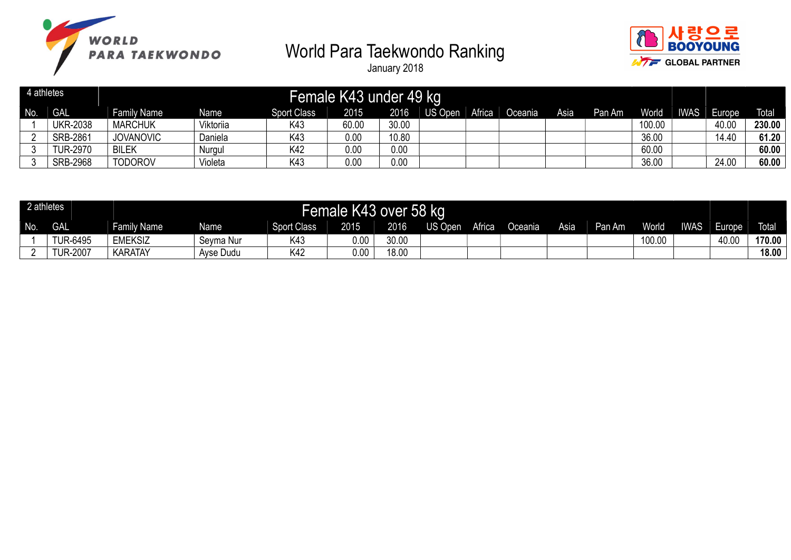



| 4 athletes |                 |                    |                  |                    | Female K43 under 49 kg |       |         |        |         |      |        |              |             |               |              |
|------------|-----------------|--------------------|------------------|--------------------|------------------------|-------|---------|--------|---------|------|--------|--------------|-------------|---------------|--------------|
| No.        | <b>GAL</b>      | <b>Family Name</b> | Name             | <b>Sport Class</b> | 2015                   | 2016  | US Open | Africa | Oceania | Asia | Pan Am | <b>World</b> | <b>IWAS</b> | <b>Lurope</b> | <b>Total</b> |
|            | <b>UKR-2038</b> | <b>MARCHUK</b>     | <b>/iktoriia</b> | K43                | 60.00                  | 30.00 |         |        |         |      |        | 100.00       |             | 40.00         | 230.00       |
|            | <b>SRB-2861</b> | <b>JOVANOVIC</b>   | Daniela          | K43                | 0.00                   | 10.80 |         |        |         |      |        | 36.00        |             | 14.40         | 61.20        |
|            | <b>TUR-2970</b> | <b>BILEK</b>       | Nurgul           | K42                | 0.00                   | 0.00  |         |        |         |      |        | 60.00        |             |               | 60.00        |
| ັບ         | <b>SRB-2968</b> | <b>TODOROV</b>     | Violeta          | K43                | 0.00                   | 0.00  |         |        |         |      |        | 36.00        |             | 24.00         | 60.00        |

| 2 athletes |                 |                |           |                    | Female K43 over 58 kg |       |                |        |                      |      |        |        |             |        |              |
|------------|-----------------|----------------|-----------|--------------------|-----------------------|-------|----------------|--------|----------------------|------|--------|--------|-------------|--------|--------------|
| No.        | <b>GAL</b>      | Family Name    | Name      | <b>Sport Class</b> | 2015                  | 2016  | <b>US Open</b> | Africa | Oceania <sup>1</sup> | Asia | Pan Am | World  | <b>IWAS</b> | Europe | <b>Total</b> |
|            | <b>TUR-6495</b> | <b>EMEKSIZ</b> | Sevma Nur | K43                | 0.00                  | 30.00 |                |        |                      |      |        | 100.00 |             | 40.00  | 170.00       |
|            | <b>TUR-2007</b> | KARATAY        | Ayse Dudu | K42                | 0.00                  | 18.00 |                |        |                      |      |        |        |             |        | 18.00        |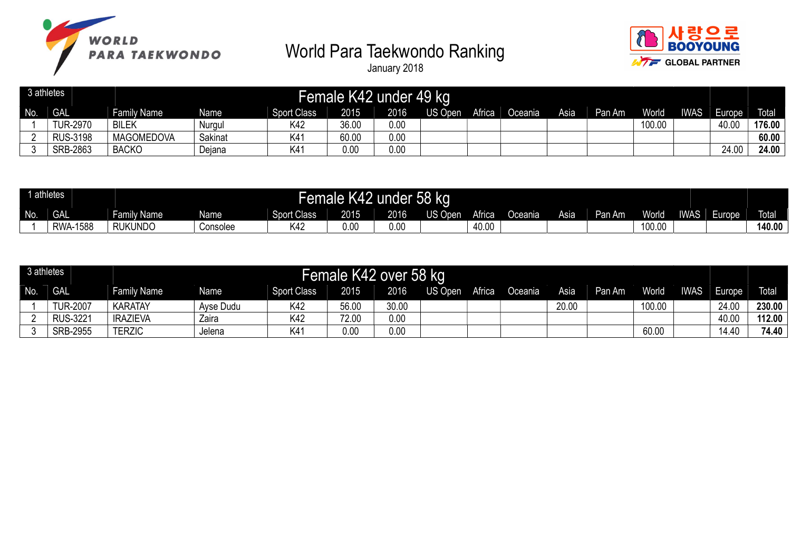



| 3 athletes |                 |                   |         |                    | Female K42 under 49 kg |      |         |        |         |      |        |        |             |        |              |
|------------|-----------------|-------------------|---------|--------------------|------------------------|------|---------|--------|---------|------|--------|--------|-------------|--------|--------------|
| No.        | <b>GAL</b>      | Family Name       | Name    | <b>Sport Class</b> | 2015                   | 2016 | US Open | Africa | Oceania | Asia | Pan Am | World  | <b>IWAS</b> | Europe | <b>Total</b> |
|            | <b>TUR-2970</b> | <b>BILEK</b>      | Nurgu   | K42                | 36.00                  | 0.00 |         |        |         |      |        | 100.00 |             | 40.00  | 176.00       |
|            | <b>RUS-3198</b> | <b>MAGOMEDOVA</b> | Sakinat | K <sub>4</sub>     | 60.00                  | 0.00 |         |        |         |      |        |        |             |        | 60.00        |
|            | SRB-2863        | <b>BACKO</b>      | Dejana  | K4 <sup>-</sup>    | 0.00                   | 0.00 |         |        |         |      |        |        |             | 24.00  | 24.00        |

| 1 athletes |                    |                                                                                                                                 |          |     | Female K42 | under 58 kg |  |       |  |  |  |        |  |       |              |
|------------|--------------------|---------------------------------------------------------------------------------------------------------------------------------|----------|-----|------------|-------------|--|-------|--|--|--|--------|--|-------|--------------|
| No.        | <b>GAL</b>         | <b>US Open</b><br>Africa<br>2016<br>2015<br>Family Name<br>Sport Class<br><b>Name</b><br>Asia<br>Oceania <sup>1</sup><br>Pan Am |          |     |            |             |  |       |  |  |  |        |  | urope | <b>Total</b> |
|            | 1588<br><b>RWA</b> | <b>RUKUNDO</b>                                                                                                                  | Consolee | K42 | 0.00       | 0.00        |  | 40.00 |  |  |  | 100.00 |  |       | 140.00       |

| 3 athletes |                 |                    |           |             | Female K42 over 58 kg |       |         |        |         |       |        |              |             |        |              |
|------------|-----------------|--------------------|-----------|-------------|-----------------------|-------|---------|--------|---------|-------|--------|--------------|-------------|--------|--------------|
| No.        | <b>GAL</b>      | <b>Family Name</b> | Name      | Sport Class | 2015                  | 2016  | US Open | Africa | Oceania | Asia  | Pan Am | <b>World</b> | <b>IWAS</b> | Europe | <b>Total</b> |
|            | <b>TUR-2007</b> | <b>KARATAY</b>     | Ayse Dudu | K42         | 56.00                 | 30.00 |         |        |         | 20.00 |        | 100.00       |             | 24.00  | 230.00       |
|            | <b>RUS-3221</b> | <b>IRAZIEVA</b>    | Zaira     | K42         | 72.00                 | 0.00  |         |        |         |       |        |              |             | 40.00  | 112.00       |
|            | <b>SRB-2955</b> | <b>TERZIC</b>      | Jelena    | K4          | 0.00                  | 0.00  |         |        |         |       |        | 60.00        |             | 14.40  | 74.40        |